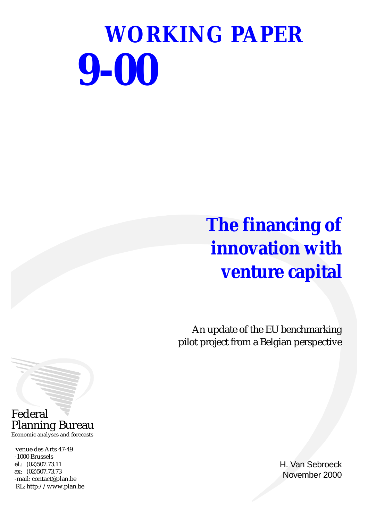# **WORKING PAPER 9-00**

## **The financing of innovation with venture capital**

An update of the EU benchmarking pilot project from a Belgian perspective

> H. Van Sebroeck November 2000

Federal Planning Bureau Economic analyses and forecasts

venue des Arts 47-49 -1000 Brussels el.: (02)507.73.11 ax: (02)507.73.73 -mail: contact@plan.be RL: http://www.plan.be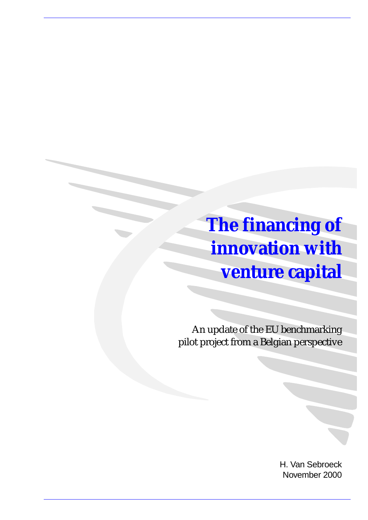## **The financing of innovation with venture capital**

An update of the EU benchmarking pilot project from a Belgian perspective

> H. Van Sebroeck November 2000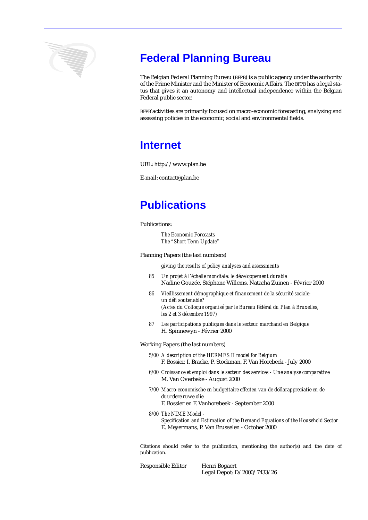

## **Federal Planning Bureau**

The Belgian Federal Planning Bureau (BFPB) is a public agency under the authority of the Prime Minister and the Minister of Economic Affairs. The BFPB has a legal status that gives it an autonomy and intellectual independence within the Belgian Federal public sector.

BFPB'activities are primarily focused on macro-economic forecasting, analysing and assessing policies in the economic, social and environmental fields.

## **Internet**

URL: http://www.plan.be

E-mail: contact@plan.be

## **Publications**

Publications:

*The Economic Forecasts The "Short Term Update"*

Planning Papers (the last numbers)

*giving the results of policy analyses and assessments*

- *85 Un projet à l'échelle mondiale: le développement durable* Nadine Gouzée, Stéphane Willems, Natacha Zuinen - Février 2000
- *86 Vieillissement démographique et financement de la sécurité sociale: un défi soutenable? (Actes du Colloque organisé par le Bureau fédéral du Plan à Bruxelles, les 2 et 3 décembre 1997)*
- *87 Les participations publiques dans le secteur marchand en Belgique* H. Spinnewyn - Février 2000

Working Papers (the last numbers)

- *5/00 A description of the HERMES II model for Belgium* F. Bossier, I. Bracke, P. Stockman, F. Van Horebeek - July 2000
- *6/00 Croissance et emploi dans le secteur des services Une analyse comparative* M. Van Overbeke - August 2000
- *7/00 Macro-economische en budgettaire effecten van de dollarappreciatie en de duurdere ruwe olie* F. Bossier en F. Vanhorebeek - September 2000
- *8/00 The NIME Model Specification and Estimation of the Demand Equations of the Household Sector*  E. Meyermans, P. Van Brusselen - October 2000

Citations should refer to the publication, mentioning the author(s) and the date of publication.

Responsible Editor Henri Bogaert

Legal Depot: D/2000/7433/26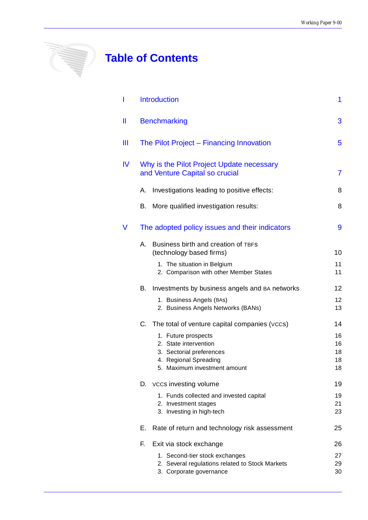# **SANTA**

## **Table of Contents**

| I  |    | <b>Introduction</b>                                                                                                                                                                   | 1                                |
|----|----|---------------------------------------------------------------------------------------------------------------------------------------------------------------------------------------|----------------------------------|
| II |    | <b>Benchmarking</b>                                                                                                                                                                   | 3                                |
| Ш  |    | The Pilot Project – Financing Innovation                                                                                                                                              | 5                                |
| IV |    | Why is the Pilot Project Update necessary<br>and Venture Capital so crucial                                                                                                           | 7                                |
|    | Α. | Investigations leading to positive effects:                                                                                                                                           | 8                                |
|    | В. | More qualified investigation results:                                                                                                                                                 | 8                                |
| V  |    | The adopted policy issues and their indicators                                                                                                                                        | 9                                |
|    | А. | Business birth and creation of TBFS<br>(technology based firms)<br>1. The situation in Belgium<br>2. Comparison with other Member States                                              | 10<br>11<br>11                   |
|    | В. | Investments by business angels and BA networks<br>1. Business Angels (BAS)<br>2. Business Angels Networks (BANs)                                                                      | 12<br>12<br>13                   |
|    |    | C. The total of venture capital companies (VCCs)<br>1. Future prospects<br>2. State intervention<br>3. Sectorial preferences<br>4. Regional Spreading<br>5. Maximum investment amount | 14<br>16<br>16<br>18<br>18<br>18 |
|    |    | D. VCCs investing volume<br>1. Funds collected and invested capital<br>2. Investment stages<br>3. Investing in high-tech                                                              | 19<br>19<br>21<br>23             |
|    | Е. | Rate of return and technology risk assessment                                                                                                                                         | 25                               |
|    | F. | Exit via stock exchange<br>1. Second-tier stock exchanges<br>2. Several regulations related to Stock Markets<br>3. Corporate governance                                               | 26<br>27<br>29<br>30             |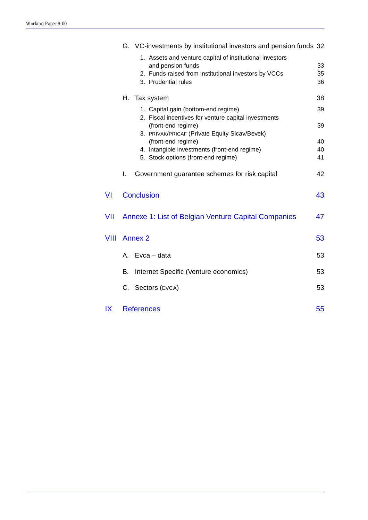|      |    | G. VC-investments by institutional investors and pension funds 32                                                                                            |                |
|------|----|--------------------------------------------------------------------------------------------------------------------------------------------------------------|----------------|
|      |    | 1. Assets and venture capital of institutional investors<br>and pension funds<br>2. Funds raised from institutional investors by VCCs<br>3. Prudential rules | 33<br>35<br>36 |
|      | Н. | Tax system                                                                                                                                                   | 38             |
|      |    | 1. Capital gain (bottom-end regime)                                                                                                                          | 39             |
|      |    | 2. Fiscal incentives for venture capital investments<br>(front-end regime)                                                                                   | 39             |
|      |    | 3. PRIVAK/PRICAF (Private Equity Sicav/Bevek)                                                                                                                |                |
|      |    | (front-end regime)                                                                                                                                           | 40             |
|      |    | 4. Intangible investments (front-end regime)<br>5. Stock options (front-end regime)                                                                          | 40<br>41       |
|      |    |                                                                                                                                                              |                |
|      | I. | Government guarantee schemes for risk capital                                                                                                                | 42             |
| VI   |    | <b>Conclusion</b>                                                                                                                                            | 43             |
| VII  |    | Annexe 1: List of Belgian Venture Capital Companies                                                                                                          | 47             |
| VIII |    | <b>Annex 2</b>                                                                                                                                               | 53             |
|      |    | A. Evca - data                                                                                                                                               | 53             |
|      | В. | Internet Specific (Venture economics)                                                                                                                        | 53             |
|      | C. | Sectors (EVCA)                                                                                                                                               | 53             |
| IX   |    | <b>References</b>                                                                                                                                            | 55             |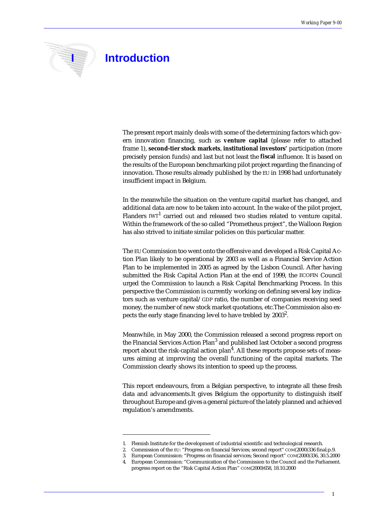

## **Introduction**

The present report mainly deals with some of the determining factors which govern innovation financing, such as **venture capital** (please refer to attached frame 1), **second-tier stock markets**, **institutional investors'** participation (more precisely pension funds) and last but not least the **fiscal** influence. It is based on the results of the European benchmarking pilot project regarding the financing of innovation. Those results already published by the EU in 1998 had unfortunately insufficient impact in Belgium.

In the meanwhile the situation on the venture capital market has changed, and additional data are now to be taken into account. In the wake of the pilot project, Flanders IWT $^{\rm 1}$  carried out and released two studies related to venture capital. Within the framework of the so called "Prometheus project", the Walloon Region has also strived to initiate similar policies on this particular matter.

The EU Commission too went onto the offensive and developed a Risk Capital Action Plan likely to be operational by 2003 as well as a Financial Service Action Plan to be implemented in 2005 as agreed by the Lisbon Council. After having submitted the Risk Capital Action Plan at the end of 1999, the ECOFIN Council urged the Commission to launch a Risk Capital Benchmarking Process. In this perspective the Commission is currently working on defining several key indicators such as venture capital/GDP ratio, the number of companies receiving seed money, the number of new stock market quotations, etc.The Commission also expects the early stage financing level to have trebled by 2003 $^2\!$ .

Meanwhile, in May 2000, the Commission released a second progress report on the Financial Services Action Plan<sup>3</sup> and published last October a second progress report about the risk-capital action plan<sup>4</sup>. All these reports propose sets of measures aiming at improving the overall functioning of the capital markets. The Commission clearly shows its intention to speed up the process.

This report endeavours, from a Belgian perspective, to integrate all these fresh data and advancements.It gives Belgium the opportunity to distinguish itself throughout Europe and gives a general picture of the lately planned and achieved regulation's amendments.

<sup>1.</sup> Flemish Institute for the development of industrial scientific and technological research.

<sup>2.</sup> Commission of the EU: "Progress on financial Services; second report" COM(2000)336 final;p.9.

<sup>3.</sup> European Commission: "Progress on financial services; Second report" COM(2000)336, 30.5.2000

<sup>4.</sup> European Commission: "Communication of the Commission to the Council and the Parliament. progress report on the "Risk Capital Action Plan" COM(2000)658, 18.10.2000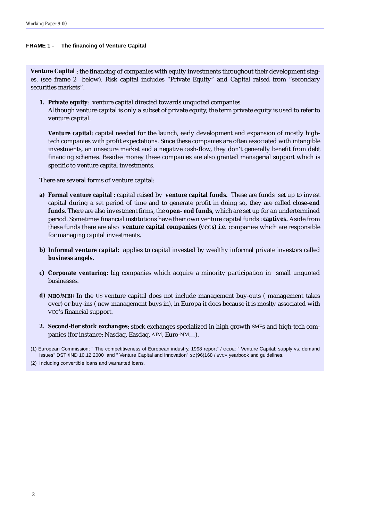#### **FRAME 1 - The financing of Venture Capital**

**Venture Capital** : the financing of companies with equity investments throughout their development stages, (see frame 2 below). Risk capital includes "Private Equity" and Capital raised from "secondary securities markets".

**1. Private equity**:venture capital directed towards unquoted companies.

Although venture capital is only a subset of private equity, the term private equity is used to refer to venture capital.

**Venture capital**: capital needed for the launch, early development and expansion of mostly hightech companies with profit expectations. Since these companies are often associated with intangible investments, an unsecure market and a negative cash-flow, they don't generally benefit from debt financing schemes. Besides money these companies are also granted managerial support which is specific to venture capital investments.

There are several forms of venture capital:

- **a) Formal venture capital :** capital raised by **venture capital funds.** These are funds set up to invest capital during a set period of time and to generate profit in doing so, they are called **close-end funds.** There are also investment firms, the **open- end funds,** which are set up for an undertermined period. Sometimes financial institutions have their own venture capital funds : **captives.** Aside from these funds there are also **venture capital companies (VCCs) i.e.** companies which are responsible for managing capital investments.
- **b) Informal venture capital:** applies to capital invested by wealthy informal private investors called **business angels**.
- **c) Corporate venturing:** big companies which acquire a minority participation in small unquoted businesses.
- **d) MBO/MBI:** In the US venture capital does not include management buy-outs ( management takes over) or buy-ins ( new management buys in), in Europa it does because it is moslty associated with VCC's financial support.
- **2. Second-tier stock exchanges**: stock exchanges specialized in high growth SMEs and high-tech companies (for instance: Nasdaq, Easdaq, AIM, Euro-NM…).
- (1) European Commission: " The competitiveness of European industry. 1998 report" / OCDE: " Venture Capital: supply vs. demand issues" DSTI/IND 10.12.2000 and " Venture Capital and Innovation" GD(96)168 / EVCA yearbook and guidelines.

(2) Including convertible loans and warranted loans.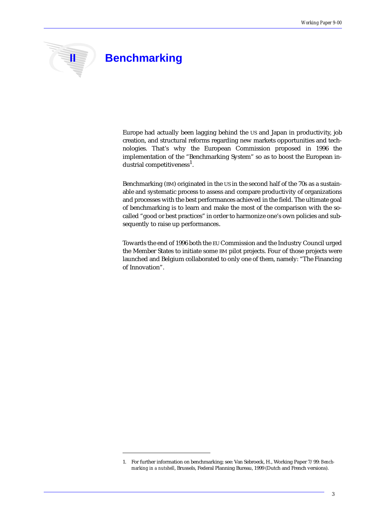

## **II** Benchmarking

Europe had actually been lagging behind the US and Japan in productivity, job creation, and structural reforms regarding new markets opportunities and technologies. That's why the European Commission proposed in 1996 the implementation of the "Benchmarking System" so as to boost the European industrial competitiveness<sup>1</sup>.

Benchmarking (BM) originated in the US in the second half of the 70s as a sustainable and systematic process to assess and compare productivity of organizations and processes with the best performances achieved in the field. The ultimate goal of benchmarking is to learn and make the most of the comparison with the socalled "good or best practices" in order to harmonize one's own policies and subsequently to raise up performances.

Towards the end of 1996 both the EU Commission and the Industry Council urged the Member States to initiate some BM pilot projects. Four of those projects were launched and Belgium collaborated to only one of them, namely: "The Financing of Innovation".

<sup>1.</sup> For further information on benchmarking; see: Van Sebroeck, H., Working Paper 7/99: *Benchmarking in a nutshell*, Brussels, Federal Planning Bureau, 1999 (Dutch and French versions).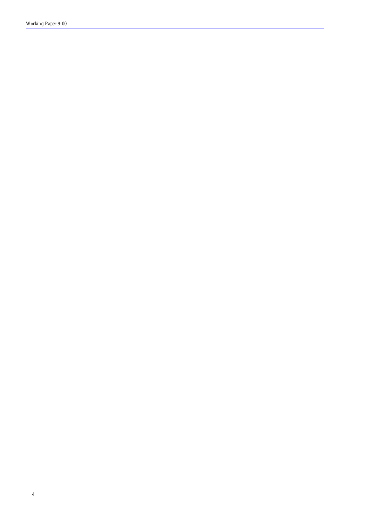*Working Paper 9-00*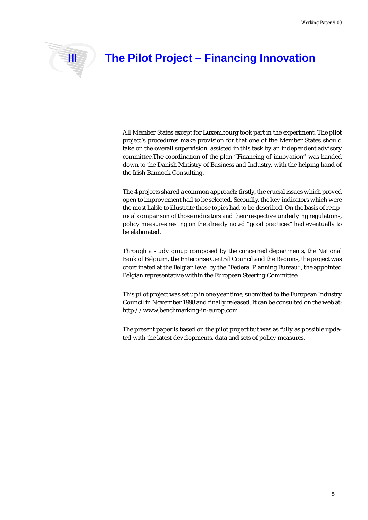

## **III The Pilot Project – Financing Innovation**

All Member States except for Luxembourg took part in the experiment. The pilot project's procedures make provision for that one of the Member States should take on the overall supervision, assisted in this task by an independent advisory committee.The coordination of the plan "Financing of innovation" was handed down to the Danish Ministry of Business and Industry, with the helping hand of the Irish Bannock Consulting.

The 4 projects shared a common approach: firstly, the crucial issues which proved open to improvement had to be selected. Secondly, the key indicators which were the most liable to illustrate those topics had to be described. On the basis of reciprocal comparison of those indicators and their respective underlying regulations, policy measures resting on the already noted "good practices" had eventually to be elaborated.

Through a study group composed by the concerned departments, the National Bank of Belgium, the Enterprise Central Council and the Regions, the project was coordinated at the Belgian level by the "Federal Planning Bureau", the appointed Belgian representative within the European Steering Committee.

This pilot project was set up in one year time, submitted to the European Industry Council in November 1998 and finally released. It can be consulted on the web at: http://www.benchmarking-in-europ.com

The present paper is based on the pilot project but was as fully as possible updated with the latest developments, data and sets of policy measures.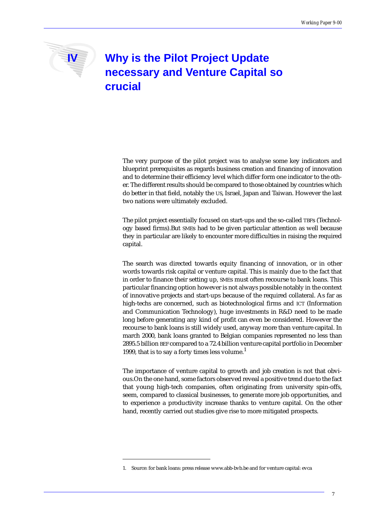

## **IV Why is the Pilot Project Update necessary and Venture Capital so crucial**

The very purpose of the pilot project was to analyse some key indicators and blueprint prerequisites as regards business creation and financing of innovation and to determine their efficiency level which differ form one indicator to the other. The different results should be compared to those obtained by countries which do better in that field, notably the US, Israel, Japan and Taiwan. However the last two nations were ultimately excluded.

The pilot project essentially focused on start-ups and the so-called TBFs (Technology based firms).But SMEs had to be given particular attention as well because they in particular are likely to encounter more difficulties in raising the required capital.

The search was directed towards equity financing of innovation, or in other words towards risk capital or venture capital. This is mainly due to the fact that in order to finance their setting up, SMEs must often recourse to bank loans. This particular financing option however is not always possible notably in the context of innovative projects and start-ups because of the required collateral. As far as high-techs are concerned, such as biotechnological firms and ICT (Information and Communication Technology), huge investments in R&D need to be made long before generating any kind of profit can even be considered. However the recourse to bank loans is still widely used, anyway more than venture capital. In march 2000, bank loans granted to Belgian companies represented no less than 2895.5 billion BEF compared to a 72.4 billion venture capital portfolio in December 1999, that is to say a forty times less volume.<sup>1</sup>

The importance of venture capital to growth and job creation is not that obvious.On the one hand, some factors observed reveal a positive trend due to the fact that young high-tech companies, often originating from university spin-offs, seem, compared to classical businesses, to generate more job opportunities, and to experience a productivity increase thanks to venture capital. On the other hand, recently carried out studies give rise to more mitigated prospects.

<sup>1.</sup> Source: for bank loans: press release www.abb-bvb.be and for venture capital: evca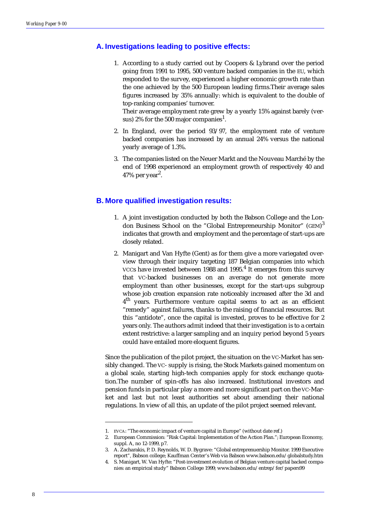#### **A. Investigations leading to positive effects:**

1. According to a study carried out by Coopers & Lybrand over the period going from 1991 to 1995, 500 venture backed companies in the EU, which responded to the survey, experienced a higher economic growth rate than the one achieved by the 500 European leading firms.Their average sales figures increased by 35% annually: which is equivalent to the double of top-ranking companies' turnover.

Their average employment rate grew by a yearly 15% against barely (versus) 2% for the 500 major companies $^{\rm 1}.$ 

- 2. In England, over the period 93/97, the employment rate of venture backed companies has increased by an annual 24% versus the national yearly average of 1.3%.
- 3. The companies listed on the Neuer Markt and the Nouveau Marché by the end of 1998 experienced an employment growth of respectively 40 and 47% per year<sup>2</sup>.

#### **B. More qualified investigation results:**

- 1. A joint investigation conducted by both the Babson College and the London Business School on the "Global Entrepreneurship Monitor" (GEM)<sup>3</sup> indicates that growth and employment and the percentage of start-ups are closely related.
- 2. Manigart and Van Hyfte (Gent) as for them give a more variegated overview through their inquiry targeting 187 Belgian companies into which VCCs have invested between 1988 and 1995.<sup>4</sup> It emerges from this survey that VC-backed businesses on an average do not generate more employment than other businesses, except for the start-ups subgroup whose job creation expansion rate noticeably increased after the 3d and  $4<sup>th</sup>$  years. Furthermore venture capital seems to act as an efficient "remedy" against failures, thanks to the raising of financial resources. But this "antidote", once the capital is invested, proves to be effective for 2 years only. The authors admit indeed that their investigation is to a certain extent restrictive: a larger sampling and an inquiry period beyond 5 years could have entailed more eloquent figures.

Since the publication of the pilot project, the situation on the VC-Market has sensibly changed. The VC- supply is rising, the Stock Markets gained momentum on a global scale, starting high-tech companies apply for stock exchange quotation.The number of spin-offs has also increased. Institutional investors and pension funds in particular play a more and more significant part on the VC-Market and last but not least authorities set about amending their national regulations. In view of all this, an update of the pilot project seemed relevant.

<sup>1.</sup> EVCA: "The economic impact of venture capital in Europe" (without date ref.)

<sup>2.</sup> European Commission: "Risk Capital: Implementation of the Action Plan."; European Economy, suppl. A, no 12-1999, p7.

<sup>3.</sup> A. Zacharakis, P. D. Reynolds, W. D. Bygrave: "Global entreprenuership Monitor. 1999 Executive report", Babson college; Kauffman Center's Web via Babson www.babson.edu/globalstudy.htm

<sup>4.</sup> S. Manigart, W. Van Hyfte: "Post-investment evolution of Belgian venture capital backed companies: an empirical study" Babson College 1999; www.babson.edu/entrep/fer/papers99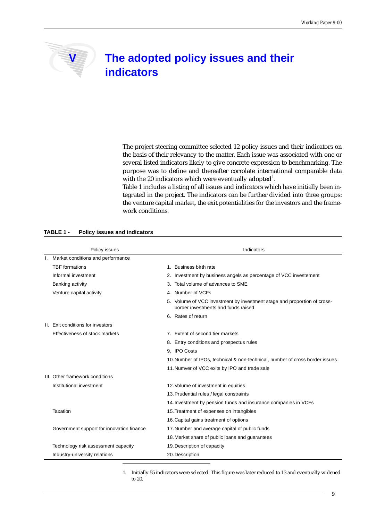

## **V The adopted policy issues and their indicators**

The project steering committee selected 12 policy issues and their indicators on the basis of their relevancy to the matter. Each issue was associated with one or several listed indicators likely to give concrete expression to benchmarking. The purpose was to define and thereafter corrolate international comparable data with the 20 indicators which were eventually adopted $^{\rm 1}.$ 

Table 1 includes a listing of all issues and indicators which have initially been integrated in the project. The indicators can be further divided into three groups: the venture capital market, the exit potentialities for the investors and the framework conditions.

| Policy issues                             | Indicators                                                                                                      |
|-------------------------------------------|-----------------------------------------------------------------------------------------------------------------|
| I. Market conditions and performance      |                                                                                                                 |
| <b>TBF</b> formations                     | 1. Business birth rate                                                                                          |
| Informal investment                       | 2. Investment by business angels as percentage of VCC investement                                               |
| Banking activity                          | 3. Total volume of advances to SME                                                                              |
| Venture capital activity                  | 4. Number of VCFs                                                                                               |
|                                           | 5. Volume of VCC investment by investment stage and proportion of cross-<br>border investments and funds raised |
|                                           | 6. Rates of return                                                                                              |
| II. Exit conditions for investors         |                                                                                                                 |
| Effectiveness of stock markets            | 7. Extent of second tier markets                                                                                |
|                                           | 8. Entry conditions and prospectus rules                                                                        |
|                                           | 9. IPO Costs                                                                                                    |
|                                           | 10. Number of IPOs, technical & non-technical, number of cross border issues                                    |
|                                           | 11. Numver of VCC exits by IPO and trade sale                                                                   |
| III. Other framework conditions           |                                                                                                                 |
| Institutional investment                  | 12. Volume of investment in equities                                                                            |
|                                           | 13. Prudential rules / legal constraints                                                                        |
|                                           | 14. Investment by pension funds and insurance companies in VCFs                                                 |
| Taxation                                  | 15. Treatment of expenses on intangibles                                                                        |
|                                           | 16. Capital gains treatment of options                                                                          |
| Government support for innovation finance | 17. Number and average capital of public funds                                                                  |
|                                           | 18. Market share of public loans and guarantees                                                                 |
| Technology risk assessment capacity       | 19. Description of capacity                                                                                     |
| Industry-university relations             | 20. Description                                                                                                 |

#### **TABLE 1 - Policy issues and indicators**

1. Initially 55 indicators were selected. This figure was later reduced to 13 and eventually widened to 20.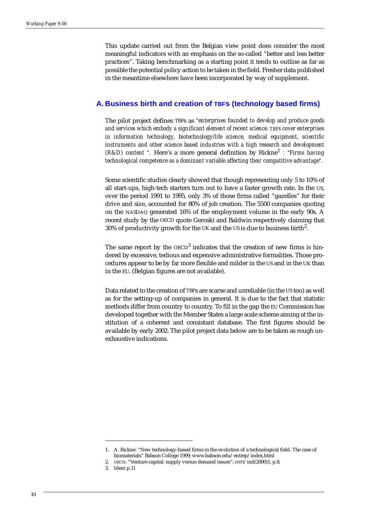This update carried out from the Belgian view point does consider the most meaningful indicators with an emphasis on the so-called "better and less better practices". Taking benchmarking as a starting point it tends to outline as far as possible the potential policy action to be taken in the field. Fresher data published in the meantime elsewhere have been incorporated by way of supplement.

#### **A. Business birth and creation of TBFs (technology based firms)**

The pilot project defines TBFs as "*enterprises founded to develop and produce goods and services which embody a significant element of recent science. TBFs cover enterprises in information technology, biotechnology/life science, medical equipment, scientific instruments and other science based industries with a high research and development (R&D) content* ". Here's a more general definition by Rickne<sup>1</sup> : "*Firms having technological competence as a dominant variable affecting their compatitive advantage*".

Some scientific studies clearly showed that though representing only 5 to 10% of all start-ups, high-tech starters turn out to have a faster growth rate. In the US, over the period 1991 to 1995, only 3% of those firms called "gazelles" for their drive and size, accounted for 80% of job creation. The 5500 companies quoting on the NASDAQ generated 16% of the employment volume in the early 90s. A recent study by the OECD quote Geroski and Baldwin respectively claiming that 30% of productivity growth for the UK and the US is due to business birth $^2$ .

The same report by the  $\mathrm{OECD}^3$  indicates that the creation of new firms is hindered by excessive, tedious and expensive administrative formalities. Those procedures appear to be by far more flexible and milder in the US and in the UK than in the EU. (Belgian figures are not available).

Data related to the creation of TBFs are scarse and unreliable (in the US too) as well as for the setting-up of companies in general. It is due to the fact that statistic methods differ from country to country. To fill in the gap the EU Commission has developed together with the Member States a large scale scheme aiming at the institution of a coherent and consistant database. The first figures should be available by early 2002. The pilot project data below are to be taken as rough unexhaustive indications.

<sup>1.</sup> A. Rickne: "New technology-based firms in the evolution of a technological field. The case of biomaterials" Babson College 1999; www.babson.edu/entrep/index.html

<sup>2.</sup> OECD: "Venture capital: supply versus demand issues"; DSTI/ind(2000)1, p.8.

<sup>3.</sup> Idem p.11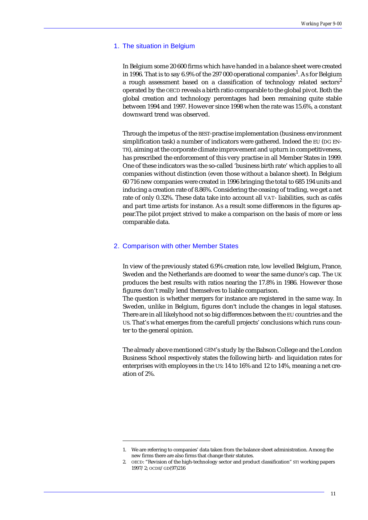#### 1. The situation in Belgium

In Belgium some 20 600 firms which have handed in a balance sheet were created in 1996. That is to say 6.9% of the 297 000 operational companies $^{\rm 1}$ . As for Belgium a rough assessment based on a classification of technology related sectors<sup>2</sup> operated by the OECD reveals a birth ratio comparable to the global pivot. Both the global creation and technology percentages had been remaining quite stable between 1994 and 1997. However since 1998 when the rate was 15.6%, a constant downward trend was observed.

Through the impetus of the BEST-practise implementation (business environment simplification task) a number of indicators were gathered. Indeed the EU (DG EN-TR), aiming at the corporate climate improvement and upturn in competitiveness, has prescribed the enforcement of this very practise in all Member States in 1999. One of these indicators was the so-called 'business birth rate' which applies to all companies without distinction (even those without a balance sheet). In Belgium 60 716 new companies were created in 1996 bringing the total to 685 194 units and inducing a creation rate of 8.86%. Considering the ceasing of trading, we get a net rate of only 0.32%. These data take into account all VAT- liabilities, such as cafés and part time artists for instance. As a result some differences in the figures appear.The pilot project strived to make a comparison on the basis of more or less comparable data.

#### 2. Comparison with other Member States

In view of the previously stated 6.9% creation rate, low levelled Belgium, France, Sweden and the Netherlands are doomed to wear the same dunce's cap. The UK produces the best results with ratios nearing the 17.8% in 1986. However those figures don't really lend themselves to liable comparison.

The question is whether mergers for instance are registered in the same way. In Sweden, unlike in Belgium, figures don't include the changes in legal statuses. There are in all likelyhood not so big differences between the EU countries and the US. That's what emerges from the carefull projects' conclusions which runs counter to the general opinion.

The already above mentioned GEM's study by the Babson College and the London Business School respectively states the following birth- and liquidation rates for enterprises with employees in the US: 14 to 16% and 12 to 14%, meaning a net creation of 2%.

<sup>1.</sup> We are referring to companies' data taken from the balance sheet administration. Among the new firms there are also firms that change their statutes.

<sup>2.</sup> OECD: "Revision of the high-technology sector and product classification" STI working papers 1997/2; OCDE/GD(97)216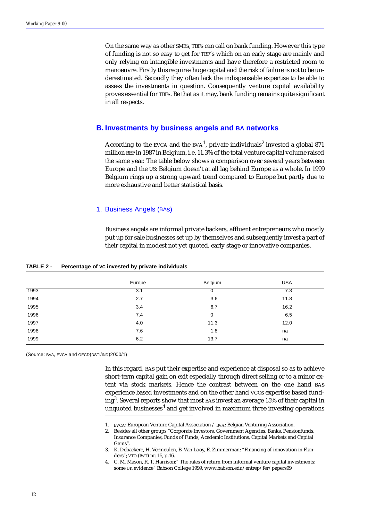On the same way as other SMEs, TBFs can call on bank funding. However this type of funding is not so easy to get for TBF's which on an early stage are mainly and only relying on intangible investments and have therefore a restricted room to manoeuvre. Firstly this requires huge capital and the risk of failure is not to be underestimated. Secondly they often lack the indispensable expertise to be able to assess the investments in question. Consequently venture capital availability proves essential for TBFs. Be that as it may, bank funding remains quite significant in all respects.

#### **B. Investments by business angels and BA networks**

According to the EVCA and the BVA $^{\mathrm{1}},$  private individuals $^{\mathrm{2}}$  invested a global 871 million BEF in 1987 in Belgium, i.e. 11.3% of the total venture capital volume raised the same year. The table below shows a comparison over several years between Europe and the US: Belgium doesn't at all lag behind Europe as a whole. In 1999 Belgium rings up a strong upward trend compared to Europe but partly due to more exhaustive and better statistical basis.

#### 1. Business Angels (BAs)

Business angels are informal private backers, affluent entrepreneurs who mostly put up for sale businesses set up by themselves and subsequently invest a part of their capital in modest not yet quoted, early stage or innovative companies.

#### **TABLE 2 - Percentage of VC invested by private individuals**

|      | Europe | Belgium | <b>USA</b> |
|------|--------|---------|------------|
| 1993 | 3.1    | 0       | 7.3        |
| 1994 | 2.7    | 3.6     | 11.8       |
| 1995 | 3.4    | 6.7     | 16.2       |
| 1996 | 7.4    | 0       | 6.5        |
| 1997 | 4.0    | 11.3    | 12.0       |
| 1998 | 7.6    | 1.8     | na         |
| 1999 | 6.2    | 13.7    | na         |

(Source: BVA, EVCA and OECD(DSTI/IND)2000/1)

In this regard, BAs put their expertise and experience at disposal so as to achieve short-term capital gain on exit especially through direct selling or to a minor extent via stock markets. Hence the contrast between on the one hand BAs experience based investments and on the other hand VCCs expertise based fund $ing<sup>3</sup>$ . Several reports show that most BAs invest an average 15% of their capital in unquoted businesses $^4$  and get involved in maximum three investing operations

<sup>1.</sup> EVCA: European Venture Capital Association / BVA: Belgian Venturing Association.

<sup>2.</sup> Besides all other groups "Corporate Investors, Government Agencies, Banks, Pensionfunds, Insurance Companies, Funds of Funds, Academic Institutions, Capital Markets and Capital Gains".

<sup>3.</sup> K. Debackere, H. Vermeulen, B. Van Looy, E. Zimmerman: "Financing of innovation in Flanders"; VTO (IWT) nr. 15, p.16.

<sup>4.</sup> C. M. Mason, R. T. Harrison:" The rates of return from informal venture capital investments: some UK evidence" Babson College 1999; www.babson.edu/entrep/fer/papers99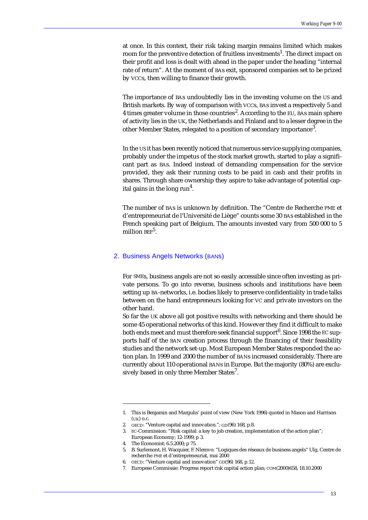at once. In this context, their risk taking margin remains limited which makes room for the preventive detection of fruitless investments<sup>1</sup>. The direct impact on their profit and loss is dealt with ahead in the paper under the heading "internal rate of return". At the moment of BAs exit, sponsored companies set to be prized by VCCs, then willing to finance their growth.

The importance of BAs undoubtedly lies in the investing volume on the US and British markets. By way of comparison with VCCs, BAs invest a respectively 5 and 4 times greater volume in those countries $^2$ . According to the EU, BAs main sphere of activity lies in the UK, the Netherlands and Finland and to a lesser degree in the other Member States, relegated to a position of secondary importance $^3.$ 

In the US it has been recently noticed that numerous service supplying companies, probably under the impetus of the stock market growth, started to play a significant part as BAs. Indeed instead of demanding compensation for the service provided, they ask their running costs to be paid in cash and their profits in shares. Through share ownership they aspire to take advantage of potential capital gains in the long  $\rm run^4$ .

The number of BAs is unknown by definition. The "Centre de Recherche PME et d'entrepreneuriat de l'Université de Liège" counts some 30 BAs established in the French speaking part of Belgium. The amounts invested vary from 500 000 to 5 million  $BEF^5$ .

#### 2. Business Angels Networks (BANs)

For SMEs, business angels are not so easily accessible since often investing as private persons. To go into reverse, business schools and institutions have been setting up BA-networks, i.e. bodies likely to preserve confidentiality in trade talks between on the hand entrepreneurs looking for VC and private investors on the other hand.

So far the UK above all got positive results with networking and there should be some 45 operational networks of this kind. However they find it difficult to make both ends meet and must therefore seek financial support $\rm^6$ . Since 1998 the EC supports half of the BAN creation process through the financing of their feasibility studies and the network set-up. Most European Member States responded the action plan. In 1999 and 2000 the number of BANs increased considerably. There are currently about 110 operational BANs in Europe. But the majority (80%) are exclusively based in only three Member States<sup>7</sup>.

<sup>1.</sup> This is Benjamin and Margulis' point of view (New York 1996) quoted in Mason and Harrison (UK) o.c.

<sup>2.</sup> OECD: "Venture capital and innovation."; GD(96) 168, p.8.

<sup>3.</sup> EC-Commission: "Risk capital: a key to job creation, implementation of the action plan"; European Economy; 12-1999, p 3.

<sup>4.</sup> The Economist; 6.5.2000; p 75.

<sup>5.</sup> B. Surlemont, H. Wacquier, F. Nlemvo: "Logiques des réseaux de business angels" Ulg, Centre de recherche PME et d'entrepreneuriat, mai 2000

<sup>6.</sup> OECD: "Venture capital and innovation" GD(96) 168, p.12.

<sup>7.</sup> Europese Commissie: Progress report risk capital action plan; COM(2000)658, 18.10.2000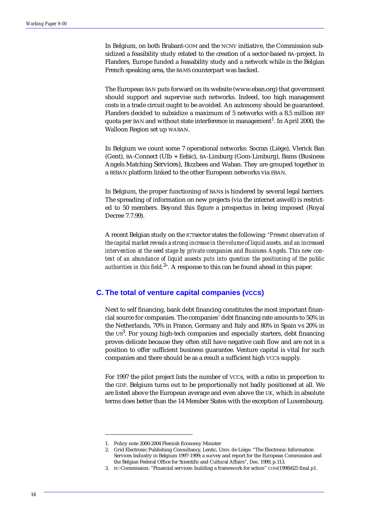In Belgium, on both Brabant-GOM and the NCNV initiative, the Commission subsidized a feasibility study related to the creation of a sector-based BA-project. In Flanders, Europe funded a feasability study and a network while in the Belgian French speaking area, the BAMS counterpart was backed.

The European BAN puts forward on its website (www.eban.org) that government should support and supervise such networks. Indeed, too high management costs in a trade circuit ought to be avoided. An autonomy should be guaranteed. Flanders decided to subsidize a maximum of 5 networks with a 8.5 million BEF quota per BAN and without state interference in management<sup>1</sup>. In April 2000, the Walloon Region set up WABAN.

In Belgium we count some 7 operational networks: Socran (Liège), Vlerick Ban (Gent), BA-Connect (Ulb + Eebic), BA-Limburg (Gom-Limburg), Bams (Business Angels Matching Services), Bizzbees and Waban. They are grouped together in a BEBAN platform linked to the other European networks via EBAN.

In Belgium, the proper functioning of BANs is hindered by several legal barriers. The spreading of information on new projects (via the internet aswell) is restricted to 50 members. Beyond this figure a prospectus in being imposed (Royal Decree 7.7.99).

A recent Belgian study on the ICTsector states the following: "*Present observation of the capital market reveals a strong increase in the volume of liquid assets, and an increased intervention at the seed stage by private companies and Business Angels. This new context of an abundance of liquid assests puts into question the positioning of the public authorities in this field.*<sup>2</sup> ". A response to this can be found ahead in this paper.

#### **C. The total of venture capital companies (VCCs)**

Next to self financing, bank debt financing constitutes the most important financial source for companies. The companies' debt financing rate amounts to 50% in the Netherlands, 70% in France, Germany and Italy and 80% in Spain vs 20% in the US $^3$ . For young high-tech companies and especially starters, debt financing proves delicate because they often still have negative cash flow and are not in a position to offer sufficient business guarantee. Venture capital is vital for such companies and there should be as a result a sufficient high VCCs supply.

For 1997 the pilot project lists the number of VCCs, with a ratio in proportion to the GDP. Belgium turns out to be proportionally not badly positioned at all. We are listed above the European average and even above the UK, which in absolute terms does better than the 14 Member States with the exception of Luxembourg.

<sup>1.</sup> Policy note 2000-2004 Flemish Economy Minister

<sup>2.</sup> Grid Electronic Publishing Consultancy, Lentic, Univ. de Liège: "The Electronic Information Services Industry in Belgium 1997-1999; a survey and report for the European Commission and the Belgian Federal Office for Scientific and Cultural Affairs", Dec. 1999, p.113.

<sup>3.</sup> EC-Commission: "Financial services: building a framework for action" COM(1998)625 final p1.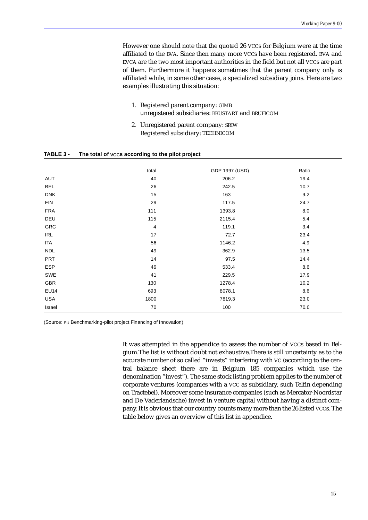However one should note that the quoted 26 VCCs for Belgium were at the time affiliated to the BVA. Since then many more VCCs have been registered. BVA and EVCA are the two most important authorities in the field but not all VCCs are part of them. Furthermore it happens sometimes that the parent company only is affiliated while, in some other cases, a specialized subsidiary joins. Here are two examples illustrating this situation:

- 1. Registered parent company: GIMB unregistered subsidiaries: BRUSTART and BRUFICOM
- 2. Unregistered parent company: SRIW Registered subsidiary: TECHNICOM

|                                    | total          | GDP 1997 (USD) | Ratio |
|------------------------------------|----------------|----------------|-------|
| <b>AUT</b>                         | 40             | 206.2          | 19.4  |
| <b>BEL</b>                         | 26             | 242.5          | 10.7  |
| <b>DNK</b>                         | 15             | 163            | 9.2   |
| ${\sf FIN}$                        | 29             | 117.5          | 24.7  |
| <b>FRA</b>                         | 111            | 1393.8         | 8.0   |
| DEU                                | 115            | 2115.4         | 5.4   |
| GRC                                | $\overline{4}$ | 119.1          | 3.4   |
| $\ensuremath{\mathsf{IRL}}\xspace$ | 17             | 72.7           | 23.4  |
| ITA                                | 56             | 1146.2         | 4.9   |
| <b>NDL</b>                         | 49             | 362.9          | 13.5  |
| PRT                                | 14             | 97.5           | 14.4  |
| <b>ESP</b>                         | 46             | 533.4          | 8.6   |
| SWE                                | 41             | 229.5          | 17.9  |
| GBR                                | 130            | 1278.4         | 10.2  |
| <b>EU14</b>                        | 693            | 8078.1         | 8.6   |
| <b>USA</b>                         | 1800           | 7819.3         | 23.0  |
| Israel                             | 70             | 100            | 70.0  |

#### **TABLE 3 - The total of VCCs according to the pilot project**

(Source: EU Benchmarking-pilot project Financing of Innovation)

It was attempted in the appendice to assess the number of VCCs based in Belgium.The list is without doubt not exhaustive.There is still uncertainty as to the accurate number of so called "invests" interfering with VC (according to the central balance sheet there are in Belgium 185 companies which use the denomination "invest"). The same stock listing problem applies to the number of corporate ventures (companies with a VCC as subsidiary, such Telfin depending on Tractebel). Moreover some insurance companies (such as Mercator-Noordstar and De Vaderlandsche) invest in venture capital without having a distinct company. It is obvious that our country counts many more than the 26 listed VCCs. The table below gives an overview of this list in appendice.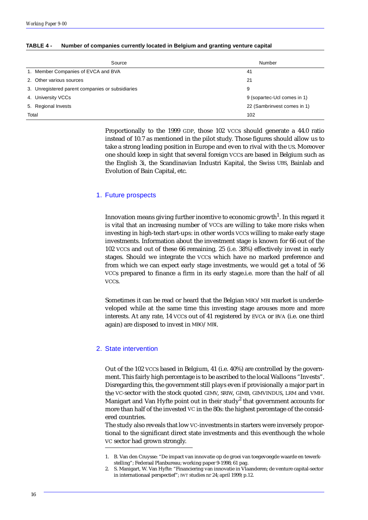| Source                                           | Number                      |
|--------------------------------------------------|-----------------------------|
| 1. Member Companies of EVCA and BVA              | 41                          |
| 2. Other various sources                         | 21                          |
| 3. Unregistered parent companies or subsidiaries | 9                           |
| 4. University VCCs                               | 9 (sopartec-Ucl comes in 1) |
| 5. Regional Invests                              | 22 (Sambrinvest comes in 1) |
| Total                                            | 102                         |

#### **TABLE 4 - Number of companies currently located in Belgium and granting venture capital**

Proportionally to the 1999 GDP, those 102 VCCs should generate a 44.0 ratio instead of 10.7 as mentioned in the pilot study. Those figures should allow us to take a strong leading position in Europe and even to rival with the US. Moreover one should keep in sight that several foreign VCCs are based in Belgium such as the English 3i, the Scandinavian Industri Kapital, the Swiss UBS, Bainlab and Evolution of Bain Capital, etc.

#### 1. Future prospects

Innovation means giving further incentive to economic growth<sup>1</sup>. In this regard it is vital that an increasing number of VCCs are willing to take more risks when investing in high-tech start-ups: in other words VCCs willing to make early stage investments. Information about the investment stage is known for 66 out of the 102 VCCs and out of these 66 remaining, 25 (i.e. 38%) effectively invest in early stages. Should we integrate the VCCs which have no marked preference and from which we can expect early stage investments, we would get a total of 56 VCCs prepared to finance a firm in its early stage.i.e. more than the half of all VCCs.

Sometimes it can be read or heard that the Belgian MBO/MBI market is underdeveloped while at the same time this investing stage arouses more and more interests. At any rate, 14 VCCs out of 41 registered by EVCA or BVA (i.e. one third again) are disposed to invest in MBO/MBI.

#### 2. State intervention

Out of the 102 VCCs based in Belgium, 41 (i.e. 40%) are controlled by the government. This fairly high percentage is to be ascribed to the local Walloons "Invests". Disregarding this, the government still plays even if provisionally a major part in the VC-sector with the stock quoted GIMV, SRIW, GIMB, GIMVINDUS, LRM and VMH. Manigart and Van Hyfte point out in their study $^2$  that government accounts for more than half of the invested VC in the 80s: the highest percentage of the considered countries.

The study also reveals that low VC-investments in starters were inversely proportional to the significant direct state investments and this eventhough the whole VC sector had grown strongly.

<sup>1.</sup> B. Van den Cruysse: "De impact van innovatie op de groei van toegevoegde waarde en tewerkstelling"; Federaal Planbureau; working paper 9-1998; 61 pag.

<sup>2.</sup> S. Manigart, W. Van Hyfte: "Financiering van innovatie in Vlaanderen; de venture capital-sector in internationaal perspectief"; IWT studies nr 24; april 1999; p.12.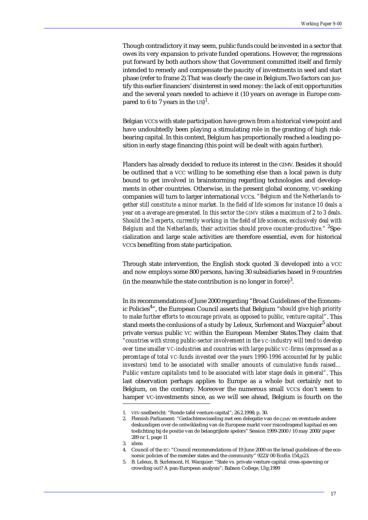Though contradictory it may seem, public funds could be invested in a sector that owes its very expansion to private funded operations. However, the regressions put forward by both authors show that Government committed itself and firmly intended to remedy and compensate the paucity of investments in seed and start phase (refer to frame 2).That was clearly the case in Belgium.Two factors can justify this earlier financiers' disinterest in seed money: the lack of exit opportunities and the several years needed to achieve it (10 years on average in Europe compared to 6 to 7 years in the US)<sup>1</sup>.

Belgian VCCs with state participation have grown from a historical viewpoint and have undoubtedly been playing a stimulating role in the granting of high riskbearing capital. In this context, Belgium has proportionally reached a leading position in early stage financing (this point will be dealt with again further).

Flanders has already decided to reduce its interest in the GIMV. Besides it should be outlined that a VCC willing to be something else than a local pawn is duty bound to get involved in brainstorming regarding technologies and developments in other countries. Otherwise, in the present global economy, VC-seeking companies will turn to larger international VCCs. *"Belgium and the Netherlands together still constitute a minor market. In the field of life sciences for instance 10 deals a year on a average are generated. In this sector the GIMV stikes a maximum of 2 to 3 deals. Should the 3 experts, currently working in the field of life sciences, exclusively deal with Belgium and the Netherlands, their activities should prove counter-productive."* 2Specialization and large scale activities are therefore essential, even for historical VCCs benefiting from state participation.

Through state intervention, the English stock quoted 3i developed into a VCC and now employs some 800 persons, having 30 subsidiaries based in 9 countries (in the meanwhile the state contribution is no longer in force)<sup>3</sup>.

In its recommendations of June 2000 regarding "Broad Guidelines of the Economic Policies<sup>4</sup> ", the European Council asserts that Belgium "*should give high priority to make further efforts to encourage private, as opposed to public, venture capital"*. This stand meets the conlusions of a study by Leleux, Surlemont and Wacquier<sup>5</sup> about private versus public VC within the European Member States.They claim that *"countries with strong public-sector involvement in the VC-industry will tend to develop over time smaller VC-industries and countries with large public VC-firms (expressed as a percentage of total VC-funds invested over the years 1990-1996 accounted for by public investors) tend to be associated with smaller amounts of cumulative funds raised… Public venture capitalists tend to be associated with later stage deals in general"*. This last observation perhaps applies to Europe as a whole but certainly not to Belgium, on the contrary. Moreover the numerous small VCCs don't seem to hamper VC-investments since, as we will see ahead, Belgium is fourth on the

<sup>1.</sup> VEV-snelbericht: "Ronde tafel venture capital"; 26.2.1998; p. 30.

<sup>2.</sup> Flemish Parliament: "Gedachtenwisseling met een delegatie van de GIMV en eventuele andere deskundigen over de ontwikkeling van de Europese markt voor risicodragend kapitaal en een toelichting bij de positie van de belangrijkste spelers" Session 1999-2000 /10 may 2000/paper 289 nr 1, page 11

<sup>3.</sup> idem

<sup>4.</sup> Council of the EC: "Council recommendations of 19 June 2000 on the broad guidelines of the economic policies of the member states and the community" 9223/00 Ecofin 154,p23.

<sup>5.</sup> B. Leleux, B. Surlemont, H. Wacquier: "State vs. private venture capital: cross-spawning or crowding out? A pan-European analysis"; Babson College, Ulg;1999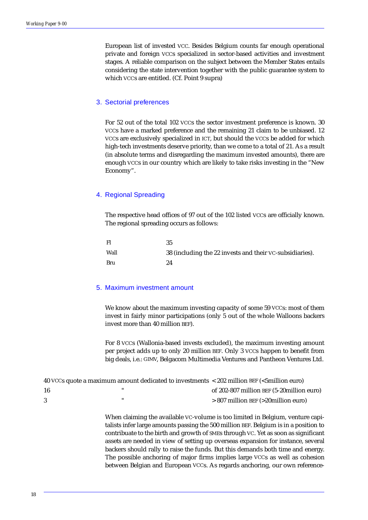European list of invested VCC. Besides Belgium counts far enough operational private and foreign VCCs specialized in sector-based activities and investment stages. A reliable comparison on the subject between the Member States entails considering the state intervention together with the public guarantee system to which VCCs are entitled. (Cf. Point 9 supra)

#### 3. Sectorial preferences

For 52 out of the total 102 VCCs the sector investment preference is known. 30 VCCs have a marked preference and the remaining 21 claim to be unbiased. 12 VCCs are exclusively specialized in ICT, but should the VCCs be added for which high-tech investments deserve priority, than we come to a total of 21. As a result (in absolute terms and disregarding the maximum invested amounts), there are enough VCCs in our country which are likely to take risks investing in the "New Economy".

#### 4. Regional Spreading

The respective head offices of 97 out of the 102 listed VCCs are officially known. The regional spreading occurs as follows:

| -FI  | 35                                                       |
|------|----------------------------------------------------------|
| Wall | 38 (including the 22 invests and their VC-subsidiaries). |
| Bru  | 24                                                       |

#### 5. Maximum investment amount

We know about the maximum investing capacity of some 59 VCCs: most of them invest in fairly minor participations (only 5 out of the whole Walloons backers invest more than 40 million BEF).

For 8 VCCs (Wallonia-based invests excluded), the maximum investing amount per project adds up to only 20 million BEF. Only 3 VCCs happen to benefit from big deals, i.e.: GIMV, Belgacom Multimedia Ventures and Pantheon Ventures Ltd.

|    | 40 VCCs quote a maximum amount dedicated to investments < 202 million BEF (<5million euro) |
|----|--------------------------------------------------------------------------------------------|
| 16 | of 202-807 million BEF (5-20million euro)                                                  |
|    | $>807$ million BEF ( $>20$ million euro)                                                   |

When claiming the available VC-volume is too limited in Belgium, venture capitalists infer large amounts passing the 500 million BEF. Belgium is in a position to contribuate to the birth and growth of SMEs through VC. Yet as soon as significant assets are needed in view of setting up overseas expansion for instance, several backers should rally to raise the funds. But this demands both time and energy. The possible anchoring of major firms implies large VCCs as well as cohesion between Belgian and European VCCs. As regards anchoring, our own reference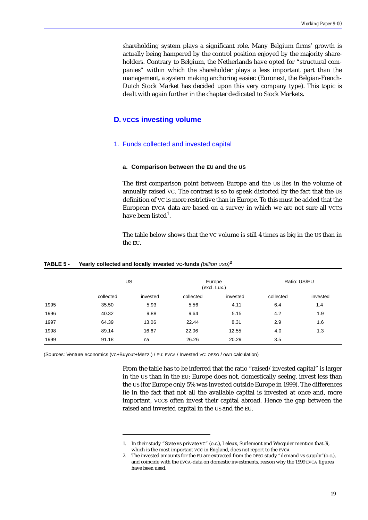shareholding system plays a significant role. Many Belgium firms' growth is actually being hampered by the control position enjoyed by the majority shareholders. Contrary to Belgium, the Netherlands have opted for "structural companies" within which the shareholder plays a less important part than the management, a system making anchoring easier. (Euronext, the Belgian-French-Dutch Stock Market has decided upon this very company type). This topic is dealt with again further in the chapter dedicated to Stock Markets.

#### **D. VCCs investing volume**

#### 1. Funds collected and invested capital

#### **a. Comparison between the EU and the US**

The first comparison point between Europe and the US lies in the volume of annually raised VC. The contrast is so to speak distorted by the fact that the US definition of VC is more restrictive than in Europe. To this must be added that the European EVCA data are based on a survey in which we are not sure all VCCs have been listed $^{\rm 1}$ .

The table below shows that the VC volume is still 4 times as big in the US than in the EU.

|      | US        |          | Europe<br>(excl. Lux.) |          | Ratio: US/EU |          |
|------|-----------|----------|------------------------|----------|--------------|----------|
|      | collected | invested | collected              | invested | collected    | invested |
| 1995 | 35.50     | 5.93     | 5.56                   | 4.11     | 6.4          | 1.4      |
| 1996 | 40.32     | 9.88     | 9.64                   | 5.15     | 4.2          | 1.9      |
| 1997 | 64.39     | 13.06    | 22.44                  | 8.31     | 2.9          | 1.6      |
| 1998 | 89.14     | 16.67    | 22.06                  | 12.55    | 4.0          | 1.3      |
| 1999 | 91.18     | na       | 26.26                  | 20.29    | 3.5          |          |

#### **TABLE 5 - Yearly collected and locally invested VC-funds** (billion USD) **2**

(Sources: Venture economics (VC+Buyout+Mezz.) / EU: EVCA / Invested VC: OESO / own calculation)

From the table has to be inferred that the ratio "raised/invested capital" is larger in the US than in the EU: Europe does not, domestically seeing, invest less than the US (for Europe only 5% was invested outside Europe in 1999). The differences lie in the fact that not all the available capital is invested at once and, more important, VCCs often invest their capital abroad. Hence the gap between the raised and invested capital in the US and the EU.

<sup>1.</sup> In their study "State vs private VC" (o.c.), Leleux, Surlemont and Wacquier mention that 3i, which is the most important VCC in England, does not report to the EVCA

<sup>2.</sup> The invested amounts for the EU are extracted from the OESO study "demand vs supply" $(0.c.)$ , and coincide with the EVCA-data on domestic investments, reason why the 1999 EVCA figures have been used.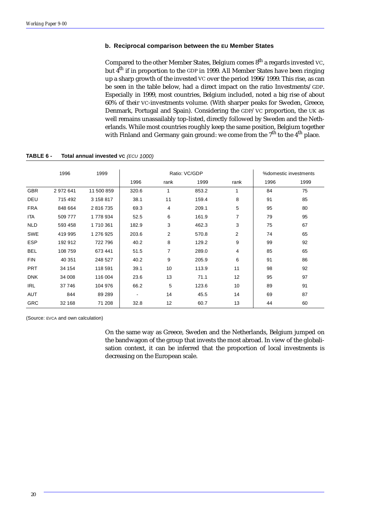#### **b. Reciprocal comparison between the EU Member States**

Compared to the other Member States, Belgium comes  $8<sup>th</sup>$  a regards invested VC, but  $4<sup>th</sup>$  if in proportion to the GDP in 1999. All Member States have been ringing up a sharp growth of the invested VC over the period 1996/1999. This rise, as can be seen in the table below, had a direct impact on the ratio Investments/GDP. Especially in 1999, most countries, Belgium included, noted a big rise of about 60% of their VC-investments volume. (With sharper peaks for Sweden, Greece, Denmark, Portugal and Spain). Considering the GDP/VC proportion, the UK as well remains unassailably top-listed, directly followed by Sweden and the Netherlands. While most countries roughly keep the same position, Belgium together with Finland and Germany gain ground: we come from the  $7<sup>th</sup>$  to the 4<sup>th</sup> place.

|            | 1996      | 1999       | Ratio: VC/GDP |      |       |      | %domestic investments |      |
|------------|-----------|------------|---------------|------|-------|------|-----------------------|------|
|            |           |            | 1996          | rank | 1999  | rank | 1996                  | 1999 |
| <b>GBR</b> | 2 972 641 | 11 500 859 | 320.6         | 1    | 853.2 | 1    | 84                    | 75   |
| DEU        | 715 492   | 3 158 817  | 38.1          | 11   | 159.4 | 8    | 91                    | 85   |
| <b>FRA</b> | 848 664   | 2816735    | 69.3          | 4    | 209.1 | 5    | 95                    | 80   |
| ITA        | 509 777   | 1778934    | 52.5          | 6    | 161.9 | 7    | 79                    | 95   |
| <b>NLD</b> | 593 458   | 1710361    | 182.9         | 3    | 462.3 | 3    | 75                    | 67   |
| <b>SWE</b> | 419 995   | 1 276 925  | 203.6         | 2    | 570.8 | 2    | 74                    | 65   |
| <b>ESP</b> | 192 912   | 722796     | 40.2          | 8    | 129.2 | 9    | 99                    | 92   |
| <b>BEL</b> | 108 759   | 673 441    | 51.5          | 7    | 289.0 | 4    | 85                    | 65   |
| <b>FIN</b> | 40 351    | 248 527    | 40.2          | 9    | 205.9 | 6    | 91                    | 86   |
| <b>PRT</b> | 34 154    | 118 591    | 39.1          | 10   | 113.9 | 11   | 98                    | 92   |
| <b>DNK</b> | 34 008    | 116 004    | 23.6          | 13   | 71.1  | 12   | 95                    | 97   |
| <b>IRL</b> | 37746     | 104 976    | 66.2          | 5    | 123.6 | 10   | 89                    | 91   |
| <b>AUT</b> | 844       | 89 289     | ٠             | 14   | 45.5  | 14   | 69                    | 87   |
| <b>GRC</b> | 32 168    | 71 208     | 32.8          | 12   | 60.7  | 13   | 44                    | 60   |

**TABLE 6 - Total annual invested vc** (ECU 1000)

(Source: EVCA and own calculation)

On the same way as Greece, Sweden and the Netherlands, Belgium jumped on the bandwagon of the group that invests the most abroad. In view of the globalisation context, it can be inferred that the proportion of local investments is decreasing on the European scale.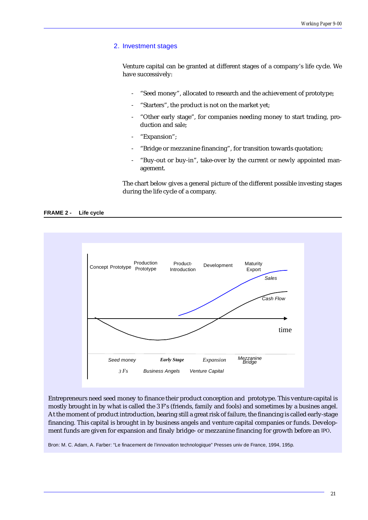#### 2. Investment stages

Venture capital can be granted at different stages of a company's life cycle. We have successively:

- "Seed money", allocated to research and the achievement of prototype;
- "Starters", the product is not on the market yet;
- "Other early stage", for companies needing money to start trading, production and sale;
- "Expansion":
- "Bridge or mezzanine financing", for transition towards quotation;
- "Buy-out or buy-in", take-over by the current or newly appointed management.

The chart below gives a general picture of the different possible investing stages during the life cycle of a company.





Entrepreneurs need seed money to finance their product conception and prototype. This venture capital is mostly brought in by what is called the 3 F's (friends, family and fools) and sometimes by a busines angel. At the moment of product introduction, bearing still a great risk of failure, the financing is called early-stage financing. This capital is brought in by business angels and venture capital companies or funds. Development funds are given for expansion and finaly bridge- or mezzanine financing for growth before an IPO.

Bron: M. C. Adam, A. Farber: "Le finacement de l'innovation technologique" Presses univ de France, 1994, 195p.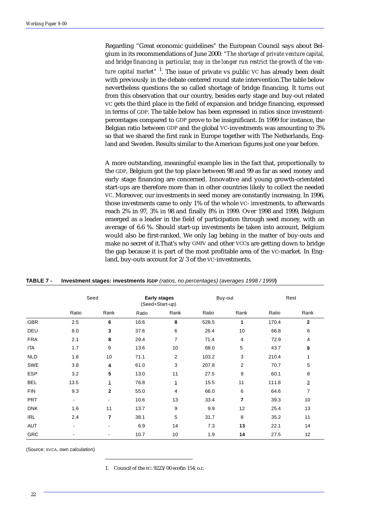Regarding "Great economic guidelines" the European Council says about Belgium in its recommendations of June 2000*: "The shortage of private venture capital, and bridge financing in particular, may in the longer run restrict the growth of the ven*ture capital market"<sup>1</sup>. The issue of private vs public VC has already been dealt with previously in the debate centered round state intervention.The table below nevertheless questions the so called shortage of bridge financing. It turns out from this observation that our country, besides early stage and buy-out related VC gets the third place in the field of expansion and bridge financing, expressed in terms of GDP. The table below has been expressed in ratios since investmentpercentages compared to GDP prove to be insignificant. In 1999 for instance, the Belgian ratio between GDP and the global VC-investments was amounting to 3% so that we shared the first rank in Europe together with The Netherlands, England and Sweden. Results similar to the American figures just one year before.

A more outstanding, meaningful example lies in the fact that, proportionally to the GDP, Belgium got the top place between 98 and 99 as far as seed money and early stage financing are concerned. Innovative and young growth-orientated start-ups are therefore more than in other countries likely to collect the needed VC. Moreover, our investments in seed money are constantly increasing. In 1996, those investments came to only 1% of the whole VC- investments, to afterwards reach 2% in 97, 3% in 98 and finally 8% in 1999. Over 1998 and 1999, Belgium emerged as a leader in the field of participation through seed money, with an average of 6.6 %. Should start-up investments be taken into account, Belgium would also be first-ranked. We only lag behing in the matter of buy-outs and make no secret of it.That's why GMIV and other VCCs are getting down to bridge the gap because it is part of the most profitable area of the VC-market. In England, buy-outs account for 2/3 of the VC-investments.

|            | Seed  |                          | <b>Early stages</b><br>(Seed+Start-up) |                | Buy-out |              | Rest  |             |
|------------|-------|--------------------------|----------------------------------------|----------------|---------|--------------|-------|-------------|
|            | Ratio | Rank                     | Ratio                                  | Rank           | Ratio   | Rank         | Ratio | Rank        |
| <b>GBR</b> | 2.5   | 6                        | 16.6                                   | 8              | 528.5   | $\mathbf{1}$ | 170.4 | $\mathbf 2$ |
| DEU        | 8.0   | 3                        | 37.6                                   | 6              | 26.4    | 10           | 66.8  | 6           |
| <b>FRA</b> | 2.1   | 8                        | 29.4                                   | 7              | 71.4    | 4            | 72.9  | 4           |
| <b>ITA</b> | 1.7   | 9                        | 13.6                                   | 10             | 68.0    | 5            | 43.7  | 9           |
| <b>NLD</b> | 1.6   | 10                       | 71.1                                   | $\overline{2}$ | 103.2   | 3            | 210.4 | 1           |
| <b>SWE</b> | 3.8   | 4                        | 61.0                                   | 3              | 207.8   | 2            | 70.7  | 5           |
| <b>ESP</b> | 3.2   | 5                        | 13.0                                   | 11             | 27.5    | 9            | 60.1  | 8           |
| <b>BEL</b> | 13.5  | 1                        | 76.8                                   | 1              | 15.5    | 11           | 111.8 | 3           |
| <b>FIN</b> | 9.3   | $\mathbf{2}$             | 55.0                                   | 4              | 66.0    | 6            | 64.6  | 7           |
| <b>PRT</b> | ۰     | $\blacksquare$           | 10.6                                   | 13             | 33.4    | 7            | 39.3  | 10          |
| <b>DNK</b> | 1.6   | 11                       | 13.7                                   | 9              | 9.9     | 12           | 25.4  | 13          |
| <b>IRL</b> | 2.4   | $\overline{7}$           | 38.1                                   | 5              | 31.7    | 8            | 35.2  | 11          |
| <b>AUT</b> | ٠     | $\overline{\phantom{a}}$ | 6.9                                    | 14             | 7.3     | 13           | 22.1  | 14          |
| GRC        |       | $\overline{\phantom{a}}$ | 10.7                                   | 10             | 1.9     | 14           | 27.5  | 12          |

#### **TABLE 7 - Investment stages: investments /GDP** (ratios, no percentages) (averages 1998 / 1999**)**

(Source: EVCA, own calculation)

1. Council of the EC: 9223/00 ecofin 154; o.c.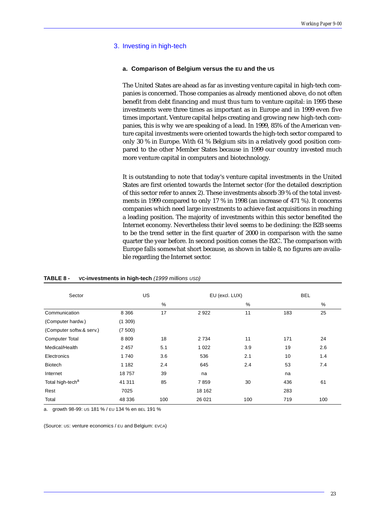#### 3. Investing in high-tech

#### **a. Comparison of Belgium versus the EU and the US**

The United States are ahead as far as investing venture capital in high-tech companies is concerned. Those companies as already mentioned above, do not often benefit from debt financing and must thus turn to venture capital: in 1995 these investments were three times as important as in Europe and in 1999 even five times important. Venture capital helps creating and growing new high-tech companies, this is why we are speaking of a lead. In 1999, 85% of the American venture capital investments were oriented towards the high-tech sector compared to only 30 % in Europe. With 61 % Belgium sits in a relatively good position compared to the other Member States because in 1999 our country invested much more venture capital in computers and biotechnology.

It is outstanding to note that today's venture capital investments in the United States are first oriented towards the Internet sector (for the detailed description of this sector refer to annex 2). These investments absorb 39 % of the total investments in 1999 compared to only 17 % in 1998 (an increase of 471 %). It concerns companies which need large investments to achieve fast acquisitions in reaching a leading position. The majority of investments within this sector benefited the Internet economy. Nevertheless their level seems to be declining: the B2B seems to be the trend setter in the first quarter of 2000 in comparison with the same quarter the year before. In second position comes the B2C. The comparison with Europe falls somewhat short because, as shown in table 8, no figures are available regarding the Internet sector.

| Sector                       | <b>US</b> |     |         | EU (excl. LUX) |     | <b>BEL</b> |  |
|------------------------------|-----------|-----|---------|----------------|-----|------------|--|
|                              |           | %   |         | %              |     | %          |  |
| Communication                | 8 3 6 6   | 17  | 2922    | 11             | 183 | 25         |  |
| (Computer hardw.)            | (1309)    |     |         |                |     |            |  |
| (Computer softw.& serv.)     | (7500)    |     |         |                |     |            |  |
| <b>Computer Total</b>        | 8809      | 18  | 2 7 3 4 | 11             | 171 | 24         |  |
| Medical/Health               | 2 4 5 7   | 5.1 | 1 0 2 2 | 3.9            | 19  | 2.6        |  |
| Electronics                  | 1740      | 3.6 | 536     | 2.1            | 10  | 1.4        |  |
| <b>Biotech</b>               | 1 1 8 2   | 2.4 | 645     | 2.4            | 53  | 7.4        |  |
| Internet                     | 18757     | 39  | na      |                | na  |            |  |
| Total high-tech <sup>a</sup> | 41 311    | 85  | 7859    | 30             | 436 | 61         |  |
| Rest                         | 7025      |     | 18 162  |                | 283 |            |  |
| Total                        | 48 336    | 100 | 26 0 21 | 100            | 719 | 100        |  |

#### **TABLE 8 - VC-investments in high-tech** (1999 millions USD)

a. growth 98-99: US 181 % / EU 134 % en BEL 191 %

(Source: US: venture economics / EU and Belgium: EVCA)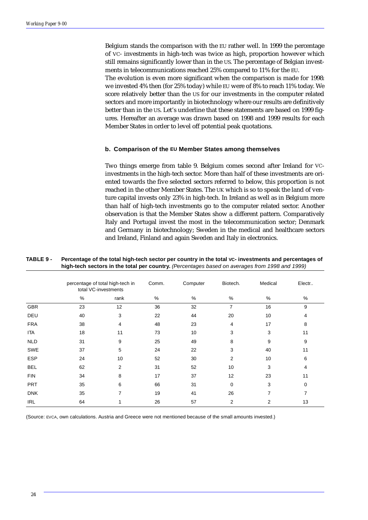Belgium stands the comparison with the EU rather well. In 1999 the percentage of VC- investments in high-tech was twice as high, proportion however which still remains significantly lower than in the US. The percentage of Belgian investments in telecommunications reached 25% compared to 11% for the EU. The evolution is even more significant when the comparison is made for 1998: we invested 4% then (for 25% today) while EU were of 8% to reach 11% today. We score relatively better than the US for our investments in the computer related sectors and more importantly in biotechnology where our results are definitively better than in the US. Let's underline that these statements are based on 1999 figures. Hereafter an average was drawn based on 1998 and 1999 results for each Member States in order to level off potential peak quotations.

#### **b. Comparison of the EU Member States among themselves**

Two things emerge from table 9. Belgium comes second after Ireland for VCinvestments in the high-tech sector. More than half of these investments are oriented towards the five selected sectors referred to below, this proportion is not reached in the other Member States. The UK which is so to speak the land of venture capital invests only 23% in high-tech. In Ireland as well as in Belgium more than half of high-tech investments go to the computer related sector. Another observation is that the Member States show a different pattern. Comparatively Italy and Portugal invest the most in the telecommunication sector; Denmark and Germany in biotechnology; Sweden in the medical and healthcare sectors and Ireland, Finland and again Sweden and Italy in electronics.

|            | percentage of total high-tech in<br>total VC-investments |      | Comm. | Computer | Biotech.       | Medical | Electr |
|------------|----------------------------------------------------------|------|-------|----------|----------------|---------|--------|
|            | %                                                        | rank | $\%$  | $\%$     | %              | %       | %      |
| <b>GBR</b> | 23                                                       | 12   | 36    | 32       | 7              | 16      | 9      |
| DEU        | 40                                                       | 3    | 22    | 44       | 20             | 10      | 4      |
| <b>FRA</b> | 38                                                       | 4    | 48    | 23       | 4              | 17      | 8      |
| ITA        | 18                                                       | 11   | 73    | 10       | 3              | 3       | 11     |
| <b>NLD</b> | 31                                                       | 9    | 25    | 49       | 8              | 9       | 9      |
| <b>SWE</b> | 37                                                       | 5    | 24    | 22       | 3              | 40      | 11     |
| <b>ESP</b> | 24                                                       | 10   | 52    | 30       | $\overline{2}$ | 10      | 6      |
| <b>BEL</b> | 62                                                       | 2    | 31    | 52       | 10             | 3       | 4      |
| <b>FIN</b> | 34                                                       | 8    | 17    | 37       | 12             | 23      | 11     |
| <b>PRT</b> | 35                                                       | 6    | 66    | 31       | 0              | 3       | 0      |
| <b>DNK</b> | 35                                                       | 7    | 19    | 41       | 26             | 7       | 7      |
| <b>IRL</b> | 64                                                       |      | 26    | 57       | 2              | 2       | 13     |

**TABLE 9 - Percentage of the total high-tech sector per country in the total VC- investments and percentages of high-tech sectors in the total per country.** (Percentages based on averages from 1998 and 1999)

(Source: EVCA, own calculations. Austria and Greece were not mentioned because of the small amounts invested.)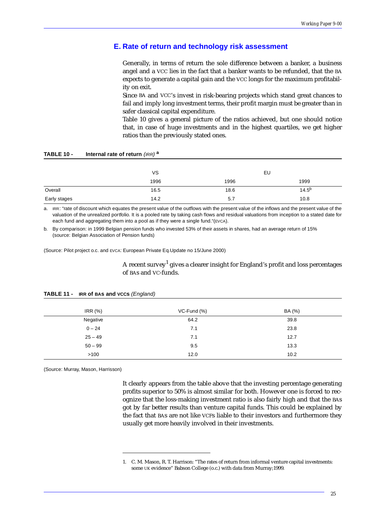#### **E. Rate of return and technology risk assessment**

Generally, in terms of return the sole difference between a banker, a business angel and a VCC lies in the fact that a banker wants to be refunded, that the BA expects to generate a capital gain and the VCC longs for the maximum profitability on exit.

Since BA and VCC's invest in risk-bearing projects which stand great chances to fail and imply long investment terms, their profit margin must be greater than in safer classical capital expenditure.

Table 10 gives a general picture of the ratios achieved, but one should notice that, in case of huge investments and in the highest quartiles, we get higher ratios than the previously stated ones.

| TABLE 10 - | Internal rate of return $(IRR)$ <sup>a</sup> |  |
|------------|----------------------------------------------|--|
|            |                                              |  |

|              | VS   | EU   |            |
|--------------|------|------|------------|
|              | 1996 | 1996 | 1999       |
| Overall      | 16.5 | 18.6 | $14.5^{b}$ |
| Early stages | 14.2 | 5.7  | 10.8       |

a. IRR: "rate of discount which equates the present value of the outflows with the present value of the inflows and the present value of the valuation of the unrealized portfolio. It is a pooled rate by taking cash flows and residual valuations from inception to a stated date for each fund and aggregating them into a pool as if they were a single fund."(EVCA).

b. By comparison: in 1999 Belgian pension funds who invested 53% of their assets in shares, had an average return of 15% (source: Belgian Association of Pension funds)

(Source: Pilot project o.c. and EVCA: European Private Eq.Update no 15/June 2000)

A recent survey $^1$  gives a clearer insight for England's profit and loss percentages of BAs and VC-funds.

| IRR (%)   | $VC$ -Fund $(\%)$ | BA (%) |
|-----------|-------------------|--------|
| Negative  | 64.2              | 39.8   |
| $0 - 24$  | 7.1               | 23.8   |
| $25 - 49$ | 7.1               | 12.7   |
| $50 - 99$ | 9.5               | 13.3   |
| >100      | 12.0              | 10.2   |

#### **TABLE 11 - IRR of BAs and VCCs** (England)

(Source: Murray, Mason, Harrisson)

It clearly appears from the table above that the investing percentage generating profits superior to 50% is almost similar for both. However one is forced to recognize that the loss-making investment ratio is also fairly high and that the BAs got by far better results than venture capital funds. This could be explained by the fact that BAs are not like VCFs liable to their investors and furthermore they usually get more heavily involved in their investments.

<sup>1.</sup> C. M. Mason, R. T. Harrison: "The rates of return from informal venture capital investments: some UK evidence" Babson College (o.c.) with data from Murray;1999.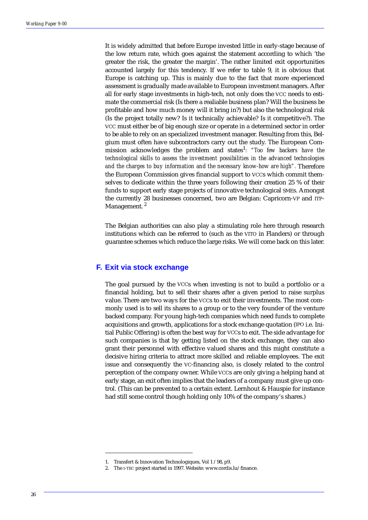It is widely admitted that before Europe invested little in early-stage because of the low return rate, which goes against the statement according to which 'the greater the risk, the greater the margin'. The rather limited exit opportunities accounted largely for this tendency. If we refer to table 9, it is obvious that Europe is catching up. This is mainly due to the fact that more experienced assessment is gradually made available to European investment managers. After all for early stage investments in high-tech, not only does the VCC needs to estimate the commercial risk (Is there a realiable business plan? Will the business be profitable and how much money will it bring in?) but also the technological risk (Is the project totally new? Is it technically achievable? Is it competitive?). The VCC must either be of big enough size or operate in a determined sector in order to be able to rely on an specialized investment manager. Resulting from this, Belgium must often have subcontractors carry out the study. The European Commission acknowledges the problem and states<sup>1</sup>: "Too few backers have the *technological skills to assess the investment possibilities in the advanced technologies and the charges to buy information and the necessary know-how are high".* Therefore the European Commission gives financial support to VCCs which commit themselves to dedicate within the three years following their creation 25 % of their funds to support early stage projects of innovative technological SMEs. Amongst the currently 28 businesses concerned, two are Belgian: Capricorn-VP and ITP-Management.<sup>2</sup>

The Belgian authorities can also play a stimulating role here through research institutions which can be referred to (such as the VITO in Flanders) or through guarantee schemes which reduce the large risks. We will come back on this later.

#### **F. Exit via stock exchange**

The goal pursued by the VCCs when investing is not to build a portfolio or a financial holding, but to sell their shares after a given period to raise surplus value. There are two ways for the VCCs to exit their investments. The most commonly used is to sell its shares to a group or to the very founder of the venture backed company. For young high-tech companies which need funds to complete acquisitions and growth, applications for a stock exchange quotation (IPO i.e. Initial Public Offering) is often the best way for VCCs to exit. The side advantage for such companies is that by getting listed on the stock exchange, they can also grant their personnel with effective valued shares and this might constitute a decisive hiring criteria to attract more skilled and reliable employees. The exit issue and consequently the VC-financing also, is closely related to the control perception of the company owner. While VCCs are only giving a helping hand at early stage, an exit often implies that the leaders of a company must give up control. (This can be prevented to a certain extent. Lernhout & Hauspie for instance had still some control though holding only 10% of the company's shares.)

<sup>1.</sup> Transfert & Innovation Technologiques, Vol 1 /98, p9.

<sup>2.</sup> The I-TEC project started in 1997. Website: www.cordis.lu/finance.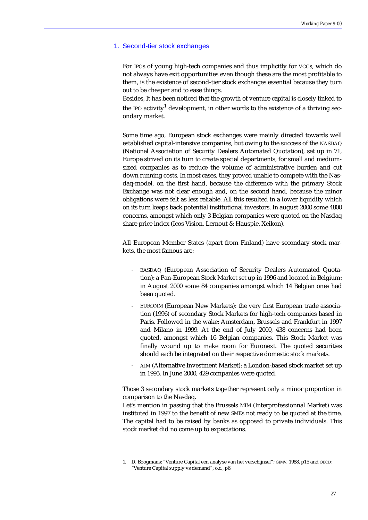#### 1. Second-tier stock exchanges

For IPOs of young high-tech companies and thus implicitly for VCCs, which do not always have exit opportunities even though these are the most profitable to them, is the existence of second-tier stock exchanges essential because they turn out to be cheaper and to ease things.

Besides, It has been noticed that the growth of venture capital is closely linked to the IPO activity $^{\rm 1}$  development, in other words to the existence of a thriving secondary market.

Some time ago, European stock exchanges were mainly directed towards well established capital-intensive companies, but owing to the success of the NASDAQ (National Association of Security Dealers Automated Quotation), set up in 71, Europe strived on its turn to create special departments, for small and mediumsized companies as to reduce the volume of administrative burden and cut down running costs. In most cases, they proved unable to compete with the Nasdaq-model, on the first hand, because the difference with the primary Stock Exchange was not clear enough and, on the second hand, because the minor obligations were felt as less reliable. All this resulted in a lower liquidity which on its turn keeps back potential institutional investors. In august 2000 some 4800 concerns, amongst which only 3 Belgian companies were quoted on the Nasdaq share price index (Icos Vision, Lernout & Hauspie, Xeikon).

All European Member States (apart from Finland) have secondary stock markets, the most famous are:

- EASDAQ (European Association of Security Dealers Automated Quotation): a Pan-European Stock Market set up in 1996 and located in Belgium: in August 2000 some 84 companies amongst which 14 Belgian ones had been quoted.
- EURONM (European New Markets): the very first European trade association (1996) of secondary Stock Markets for high-tech companies based in Paris. Followed in the wake: Amsterdam, Brussels and Frankfurt in 1997 and Milano in 1999. At the end of July 2000, 438 concerns had been quoted, amongst which 16 Belgian companies. This Stock Market was finally wound up to make room for Euronext. The quoted securities should each be integrated on their respective domestic stock markets.
- AIM (Alternative Investment Market): a London-based stock market set up in 1995. In June 2000, 429 companies were quoted.

Those 3 secondary stock markets together represent only a minor proportion in comparison to the Nasdaq.

Let's mention in passing that the Brussels MIM (Interprofessionnal Market) was instituted in 1997 to the benefit of new SMEs not ready to be quoted at the time. The capital had to be raised by banks as opposed to private individuals. This stock market did no come up to expectations.

<sup>1.</sup> D. Boogmans: "Venture Capital een analyse van het verschijnsel"; GIMV, 1988, p15 and OECD: "Venture Capital supply vs demand"; o.c., p6.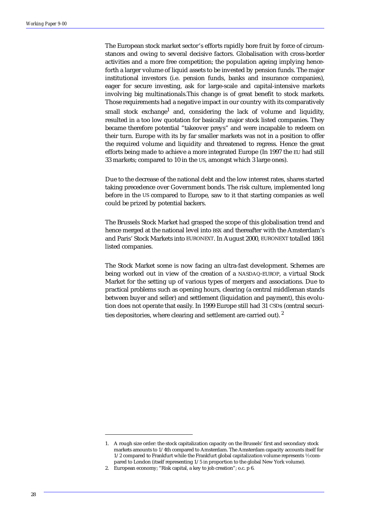The European stock market sector's efforts rapidly bore fruit by force of circumstances and owing to several decisive factors. Globalisation with cross-border activities and a more free competition; the population ageing implying henceforth a larger volume of liquid assets to be invested by pension funds. The major institutional investors (i.e. pension funds, banks and insurance companies), eager for secure investing, ask for large-scale and capital-intensive markets involving big multinationals.This change is of great benefit to stock markets. Those requirements had a negative impact in our country with its comparatively small stock  $\rm{exchange}^1$  and, considering the lack of volume and liquidity, resulted in a too low quotation for basically major stock listed companies. They became therefore potential "takeover preys" and were incapable to redeem on their turn. Europe with its by far smaller markets was not in a position to offer the required volume and liquidity and threatened to regress. Hence the great efforts being made to achieve a more integrated Europe (In 1997 the EU had still 33 markets; compared to 10 in the US, amongst which 3 large ones).

Due to the decrease of the national debt and the low interest rates, shares started taking precedence over Government bonds. The risk culture, implemented long before in the US compared to Europe, saw to it that starting companies as well could be prized by potential backers.

The Brussels Stock Market had grasped the scope of this globalisation trend and hence merged at the national level into BSX and thereafter with the Amsterdam's and Paris' Stock Markets into EURONEXT. In August 2000, EURONEXT totalled 1861 listed companies.

The Stock Market scene is now facing an ultra-fast development. Schemes are being worked out in view of the creation of a NASDAQ-EUROP, a virtual Stock Market for the setting up of various types of mergers and associations. Due to practical problems such as opening hours, clearing (a central middleman stands between buyer and seller) and settlement (liquidation and payment), this evolution does not operate that easily. In 1999 Europe still had 31 CSDs (central securities depositories, where clearing and settlement are carried out).  $^2$ 

<sup>1.</sup> A rough size order: the stock capitalization capacity on the Brussels' first and secondary stock markets amounts to 1/4th compared to Amsterdam. The Amsterdam capacity accounts itself for 1/2 compared to Frankfurt while the Frankfurt global capitalization volume represents ½ compared to London (itself representing 1/5 in proportion to the global New York volume).

<sup>2.</sup> European economy; "Risk capital, a key to job creation"; o.c. p 6.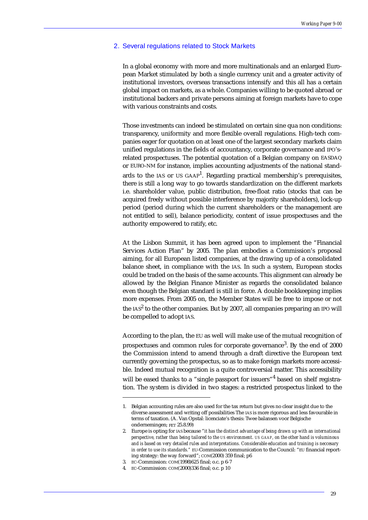#### 2. Several regulations related to Stock Markets

In a global economy with more and more multinationals and an enlarged European Market stimulated by both a single currency unit and a greater activity of institutional investors, overseas transactions intensify and this all has a certain global impact on markets, as a whole. Companies willing to be quoted abroad or institutional backers and private persons aiming at foreign markets have to cope with various constraints and costs.

Those investments can indeed be stimulated on certain sine qua non conditions: transparency, uniformity and more flexible overall regulations. High-tech companies eager for quotation on at least one of the largest secondary markets claim unified regulations in the fields of accountancy, corporate governance and IPO'srelated prospectuses. The potential quotation of a Belgian company on EASDAQ or EURO-NM for instance, implies accounting adjustments of the national standards to the IAS or US GAAP<sup>1</sup>. Regarding practical membership's prerequisites, there is still a long way to go towards standardization on the different markets i.e. shareholder value, public distribution, free-float ratio (stocks that can be acquired freely without possible interference by majority shareholders), lock-up period (period during which the current shareholders or the management are not entitled to sell), balance periodicity, content of issue prospectuses and the authority empowered to ratify, etc.

At the Lisbon Summit, it has been agreed upon to implement the "Financial Services Action Plan" by 2005. The plan embodies a Commission's proposal aiming, for all European listed companies, at the drawing up of a consolidated balance sheet, in compliance with the IAS. In such a system, European stocks could be traded on the basis of the same accounts. This alignment can already be allowed by the Belgian Finance Minister as regards the consolidated balance even though the Belgian standard is still in force. A double bookkeeping implies more expenses. From 2005 on, the Member States will be free to impose or not the IAS<sup>2</sup> to the other companies. But by 2007, all companies preparing an IPO will be compelled to adopt IAS.

According to the plan, the EU as well will make use of the mutual recognition of prospectuses and common rules for corporate governance $^3$ . By the end of 2000  $\,$ the Commission intend to amend through a draft directive the European text currently governing the prospectus, so as to make foreign markets more accessible. Indeed mutual recognition is a quite controversial matter. This accessibility will be eased thanks to a "single passport for issuers"<sup>4</sup> based on shelf registration. The system is divided in two stages: a restricted prospectus linked to the

<sup>1.</sup> Belgian accounting rules are also used for the tax return but gives no clear insight due to the diverse assessment and writing off possibilities The IAS is more rigorous and less favourable in terms of taxation. (A. Van Opstal: licenciate's thesis: Twee balansen voor Belgische ondernemingen; FET 25.8.99)

<sup>2.</sup> Europe is opting for IAS because "*it has the distinct advantage of being drawn up with an international perspective, rather than being tailored to the US environment. US GAAP, on the other hand is voluminous and is based on very detailed rules and interpretations. Considerable education and training is neccesary in order to use its standards."* EU-Commission communication to the Council: "EU financial reporting strategy: the way forward"; COM(2000) 359 final; p6

<sup>3.</sup> EC-Commission: COM(1998)625 final; o.c. p 6-7

<sup>4.</sup> EC-Commission: COM(2000)336 final; o.c. p 10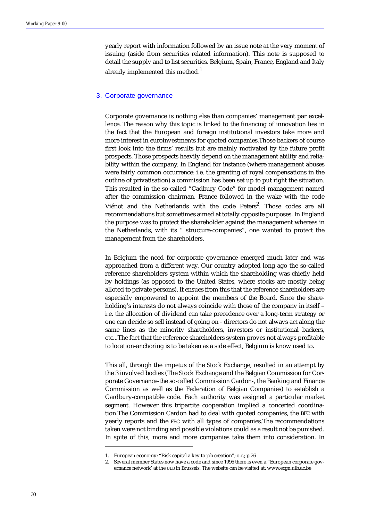yearly report with information followed by an issue note at the very moment of issuing (aside from securities related information). This note is supposed to detail the supply and to list securities. Belgium, Spain, France, England and Italy already implemented this method.<sup>1</sup>

#### 3. Corporate governance

Corporate governance is nothing else than companies' management par excellence. The reason why this topic is linked to the financing of innovation lies in the fact that the European and foreign institutional investors take more and more interest in euroinvestments for quoted companies.Those backers of course first look into the firms' results but are mainly motivated by the future profit prospects. Those prospects heavily depend on the management ability and reliability within the company. In England for instance (where management abuses were fairly common occurrence: i.e. the granting of royal compensations in the outline of privatisation) a commission has been set up to put right the situation. This resulted in the so-called "Cadbury Code" for model management named after the commission chairman. France followed in the wake with the code Viénot and the Netherlands with the code Peters<sup>2</sup>. Those codes are all recommendations but sometimes aimed at totally opposite purposes. In England the purpose was to protect the shareholder against the management whereas in the Netherlands, with its " structure-companies", one wanted to protect the management from the shareholders.

In Belgium the need for corporate governance emerged much later and was approached from a different way. Our country adopted long ago the so-called reference shareholders system within which the shareholding was chiefly held by holdings (as opposed to the United States, where stocks are mostly being alloted to private persons). It ensues from this that the reference shareholders are especially empowered to appoint the members of the Board. Since the shareholding's interests do not always coincide with those of the company in itself – i.e. the allocation of dividend can take precedence over a long-term strategy or one can decide so sell instead of going on - directors do not always act along the same lines as the minority shareholders, investors or institutional backers, etc...The fact that the reference shareholders system proves not always profitable to location-anchoring is to be taken as a side effect, Belgium is know used to.

This all, through the impetus of the Stock Exchange, resulted in an attempt by the 3 involved bodies (The Stock Exchange and the Belgian Commission for Corporate Governance-the so-called Commission Cardon-, the Banking and Finance Commission as well as the Federation of Belgian Companies) to establish a Cardbury-compatible code. Each authority was assigned a particular market segment. However this tripartite cooperation implied a concerted coordination.The Commission Cardon had to deal with quoted companies, the BFC with yearly reports and the FBC with all types of companies.The recommendations taken were not binding and possible violations could as a result not be punished. In spite of this, more and more companies take them into consideration. In

<sup>1.</sup> European economy: "Risk capital a key to job creation"; o.c.; p 26

<sup>2.</sup> Several member States now have a code and since 1996 there is even a "European corporate governance network' at the ULB in Brussels. The website can be visited at: www.ecgn.ulb.ac.be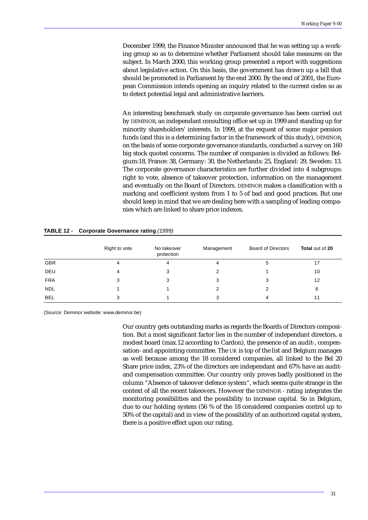December 1999, the Finance Minister announced that he was setting up a working group so as to determine whether Parliament should take measures on the subject. In March 2000, this working group presented a report with suggestions about legislative action. On this basis, the government has drawn up a bill that should be promoted in Parliament by the end 2000. By the end of 2001, the European Commission intends opening an inquiry related to the current codes so as to detect potential legal and administrative barriers.

An interesting benchmark study on corporate governance has been carried out by DEMINOR, an independant consulting office set up in 1999 and standing up for minority shareholders' interests. In 1999, at the request of some major pension funds (and this is a determining factor in the framework of this study), DEMINOR, on the basis of some corporate governance standards, conducted a survey on 160 big stock quoted concerns. The number of companies is divided as follows: Belgium:18, France: 38, Germany: 30, the Netherlands: 25, England: 29, Sweden: 13. The corporate governance characteristics are further divided into 4 subgroups: right to vote, absence of takeover protection, information on the management and eventually on the Board of Directors. DEMINOR makes a classification with a marking and coefficient system from 1 to 5 of bad and good practices. But one should keep in mind that we are dealing here with a sampling of leading companies which are linked to share price indexes.

|            | Right to vote | No takeover<br>protection | Management | <b>Board of Directors</b> | Total out of 20 |
|------------|---------------|---------------------------|------------|---------------------------|-----------------|
| <b>GBR</b> | 4             | 4                         |            | 5                         | 17              |
| DEU        | 4             |                           | 2          |                           | 10              |
| <b>FRA</b> | 3             |                           | 3          | 3                         | 12              |
| <b>NDL</b> |               |                           |            |                           | 6               |
| <b>BEL</b> | 3             |                           | 3          | 4                         | 11              |

**TABLE 12 - Corporate Governance rating** (1999)

(Source: Deminor website: www.deminor.be)

Our country gets outstanding marks as regards the Boards of Directors composition. But a most significant factor lies in the number of independant directors, a modest board (max.12 according to Cardon), the presence of an audit-, compensation- and appointing committee. The UK is top of the list and Belgium manages as well because among the 18 considered companies, all linked to the Bel 20 Share price index, 23% of the directors are independant and 67% have an auditand compensation committee. Our country only proves badly positioned in the column "Absence of takeover defence system", which seems quite strange in the context of all the recent takeovers. However the DEMINOR - rating integrates the monitoring possibilities and the possibility to increase capital. So in Belgium, due to our holding system (56 % of the 18 considered companies control up to 50% of the capital) and in view of the possibility of an authorized capital system, there is a positive effect upon our rating.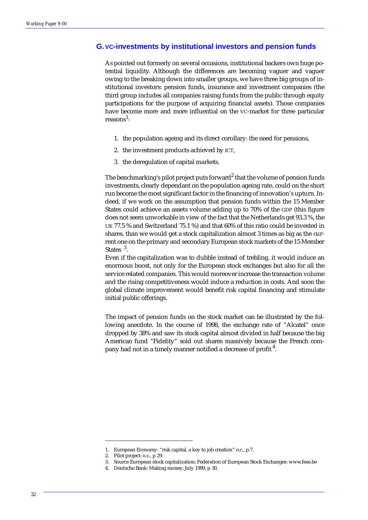#### **G.VC-investments by institutional investors and pension funds**

As pointed out formerly on several occasions, institutional backers own huge potential liquidity. Although the differences are becoming vaguer and vaguer owing to the breaking down into smaller groups, we have three big groups of institutional investors: pension funds, insurance and investment companies (the third group includes all companies raising funds from the public through equity participations for the purpose of acquiring financial assets). Those companies have become more and more influential on the VC-market for three particular reasons $^{\rm 1}$ :

- 1. the population ageing and its direct corollary: the need for pensions,
- 2. the investment products achieved by ICT,
- 3. the deregulation of capital markets.

The benchmarking's pilot project puts forward $^2$  that the volume of pension funds investments, clearly dependant on the population ageing rate, could on the short run become the most significant factor in the financing of innovation's upturn. Indeed, if we work on the assumption that pension funds within the 15 Member States could achieve an assets volume adding up to 70% of the GDP (this figure does not seem unworkable in view of the fact that the Netherlands get 93.3 %, the UK 77.5 % and Switzerland 75.1 %) and that 60% of this ratio could be invested in shares, than we would get a stock capitalization almost 3 times as big as the current one on the primary and secondary European stock markets of the 15 Member States<sup>3</sup>.

Even if the capitalization was to dubble instead of trebling, it would induce an enormous boost, not only for the European stock exchanges but also for all the service related companies. This would moreover increase the transaction volume and the rising competitiveness would induce a reduction in costs. And soon the global climate improvement would benefit risk capital financing and stimulate initial public offerings.

The impact of pension funds on the stock market can be illustrated by the following anecdote. In the course of 1998, the exchange rate of "Alcatel" once dropped by 38% and saw its stock capital almost divided in half because the big American fund "Fidelity" sold out shares massively because the French company had not in a timely manner notified a decrease of profit  $4$ .

<sup>1.</sup> European Economy: "risk capital, a key to job creation" o.c., p.7.

<sup>2.</sup> Pilot project: o.c., p 29.

<sup>3.</sup> Source European stock capitalization: Federation of European Stock Exchanges: www.fese.be

<sup>4.</sup> Deutsche Bank: Making money; July 1999, p 30.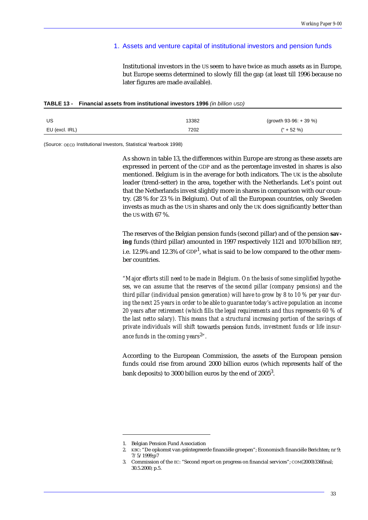#### 1. Assets and venture capital of institutional investors and pension funds

Institutional investors in the US seem to have twice as much assets as in Europe, but Europe seems determined to slowly fill the gap (at least till 1996 because no later figures are made available).

|                | <b>TABLE 13 - Financial assets from institutional investors 1996 (in billion USD)</b> |                          |
|----------------|---------------------------------------------------------------------------------------|--------------------------|
|                |                                                                                       |                          |
| US.            | 13382                                                                                 | (growth 93-96: $+$ 39 %) |
| EU (excl. IRL) | 7202                                                                                  | $(* + 52\%)$             |

(Source: OECD Institutional Investors, Statistical Yearbook 1998)

As shown in table 13, the differences within Europe are strong as these assets are expressed in percent of the GDP and as the percentage invested in shares is also mentioned. Belgium is in the average for both indicators. The UK is the absolute leader (trend-setter) in the area, together with the Netherlands. Let's point out that the Netherlands invest slightly more in shares in comparison with our country. (28 % for 23 % in Belgium). Out of all the European countries, only Sweden invests as much as the US in shares and only the UK does significantly better than the US with 67 %.

The reserves of the Belgian pension funds (second pillar) and of the pension **saving** funds (third pillar) amounted in 1997 respectively 1121 and 1070 billion BEF, i.e. 12.9% and 12.3% of GDP<sup>1</sup>, what is said to be low compared to the other member countries.

*"Major efforts still need to be made in Belgium. On the basis of some simplified hypotheses, we can assume that the reserves of the second pillar (company pensions) and the third pillar (individual pension generation) will have to grow by 8 to 10 % per year during the next 25 years in order to be able to guarantee today's active population an income 20 years after retirement (which fills the legal requirements and thus represents 60 % of the last netto salary). This means that a structural increasing portion of the savings of private individuals will shift* towards pension *funds, investment funds or life insurance funds in the coming years*2*".*

According to the European Commission, the assets of the European pension funds could rise from around 2000 billion euros (which represents half of the bank deposits) to 3000 billion euros by the end of 2005 $^3\!$ .

<sup>1.</sup> Belgian Pension Fund Association

<sup>2.</sup> KBC: "De opkomst van geïntegreerde financiële groepen"; Economisch financiële Berichten; nr 9; 7/5/1999;p7

<sup>3.</sup> Commission of the EC: "Second report on progress on financial services"; COM(2000)336final; 30.5.2000; p.5.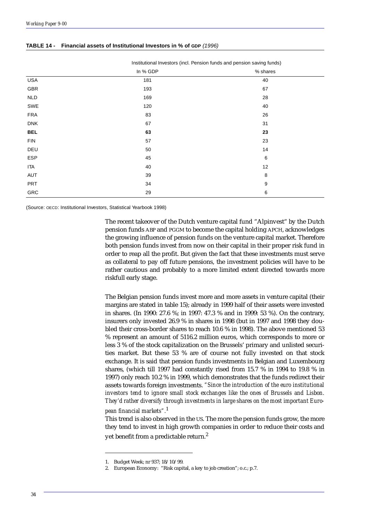|            | Institutional Investors (incl. Pension funds and pension saving funds) |          |  |
|------------|------------------------------------------------------------------------|----------|--|
|            | In % GDP                                                               | % shares |  |
| <b>USA</b> | 181                                                                    | 40       |  |
| GBR        | 193                                                                    | 67       |  |
| <b>NLD</b> | 169                                                                    | 28       |  |
| SWE        | 120                                                                    | 40       |  |
| <b>FRA</b> | 83                                                                     | 26       |  |
| <b>DNK</b> | 67                                                                     | 31       |  |
| <b>BEL</b> | 63                                                                     | 23       |  |
| <b>FIN</b> | 57                                                                     | 23       |  |
| DEU        | 50                                                                     | 14       |  |
| ESP        | 45                                                                     | 6        |  |
| <b>ITA</b> | 40                                                                     | 12       |  |
| AUT        | 39                                                                     | $\,8\,$  |  |
| PRT        | 34                                                                     | 9        |  |
| GRC        | 29                                                                     | 6        |  |

| TABLE 14 - Financial assets of Institutional Investors in % of $GDP(1996)$ |
|----------------------------------------------------------------------------|
|----------------------------------------------------------------------------|

(Source: OECD: Institutional Investors, Statistical Yearbook 1998)

The recent takeover of the Dutch venture capital fund "Alpinvest" by the Dutch pension funds ABP and PGGM to become the capital holding APCH, acknowledges the growing influence of pension funds on the venture capital market. Therefore both pension funds invest from now on their capital in their proper risk fund in order to reap all the profit. But given the fact that these investments must serve as collateral to pay off future pensions, the investment policies will have to be rather cautious and probably to a more limited extent directed towards more riskfull early stage.

The Belgian pension funds invest more and more assets in venture capital (their margins are stated in table 15); already in 1999 half of their assets were invested in shares. (In 1990: 27.6 %; in 1997: 47.3 % and in 1999: 53 %). On the contrary, insurers only invested 26.9 % in shares in 1998 (but in 1997 and 1998 they doubled their cross-border shares to reach 10.6 % in 1998). The above mentioned 53 % represent an amount of 5116.2 million euros, which corresponds to more or less 3 % of the stock capitalization on the Brussels' primary and unlisted securities market. But these 53 % are of course not fully invested on that stock exchange. It is said that pension funds investments in Belgian and Luxembourg shares, (which till 1997 had constantly rised from 15.7 % in 1994 to 19.8 % in 1997) only reach 10.2 % in 1999, which demonstrates that the funds redirect their assets towards foreign investments. *"Since the introduction of the euro institutional investors tend to ignore small stock exchanges like the ones of Brussels and Lisbon. They'd rather diversify through investments in large shares on the most important Euro-*

#### *pean financial markets".* 1

This trend is also observed in the US. The more the pension funds grow, the more they tend to invest in high growth companies in order to reduce their costs and yet benefit from a predictable return.2

<sup>1.</sup> Budget Week; nr 937; 18/10/99.

<sup>2.</sup> European Economy: "Risk capital, a key to job creation"; o.c.; p.7.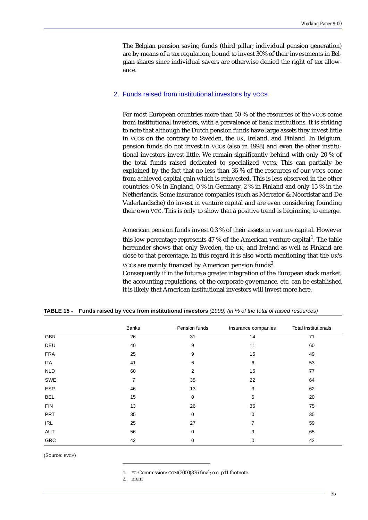The Belgian pension saving funds (third pillar; individual pension generation) are by means of a tax regulation, bound to invest 30% of their investments in Belgian shares since individual savers are otherwise denied the right of tax allowance.

#### 2. Funds raised from institutional investors by VCCs

For most European countries more than 50 % of the resources of the VCCs come from institutional investors, with a prevalence of bank institutions. It is striking to note that although the Dutch pension funds have large assets they invest little in VCCs on the contrary to Sweden, the UK, Ireland, and Finland. In Belgium, pension funds do not invest in VCCs (also in 1998) and even the other institutional investors invest little. We remain significantly behind with only 20 % of the total funds raised dedicated to specialized VCCs. This can partially be explained by the fact that no less than 36 % of the resources of our VCCs come from achieved capital gain which is reinvested. This is less observed in the other countries: 0 % in England, 0 % in Germany, 2 % in Finland and only 15 % in the Netherlands. Some insurance companies (such as Mercator & Noordstar and De Vaderlandsche) do invest in venture capital and are even considering founding their own VCC. This is only to show that a positive trend is beginning to emerge.

American pension funds invest 0.3 % of their assets in venture capital. However this low percentage represents 47  $\%$  of the American venture capital $^1$ . The table hereunder shows that only Sweden, the UK, and Ireland as well as Finland are close to that percentage. In this regard it is also worth mentioning that the UK's VCCs are mainly financed by American pension funds $^2$ .

Consequently if in the future a greater integration of the European stock market, the accounting regulations, of the corporate governance, etc. can be established it is likely that American institutional investors will invest more here.

|            | <b>Banks</b>   | Pension funds  | Insurance companies | <b>Total institutionals</b> |
|------------|----------------|----------------|---------------------|-----------------------------|
| GBR        | 26             | 31             | 14                  | 71                          |
| DEU        | 40             | 9              | 11                  | 60                          |
| <b>FRA</b> | 25             | 9              | 15                  | 49                          |
| <b>ITA</b> | 41             | 6              | 6                   | 53                          |
| <b>NLD</b> | 60             | $\overline{2}$ | 15                  | 77                          |
| SWE        | $\overline{7}$ | 35             | 22                  | 64                          |
| <b>ESP</b> | 46             | 13             | 3                   | 62                          |
| <b>BEL</b> | 15             | $\mathbf 0$    | 5                   | 20                          |
| <b>FIN</b> | 13             | 26             | 36                  | 75                          |
| <b>PRT</b> | 35             | 0              | 0                   | 35                          |
| IRL        | 25             | 27             | 7                   | 59                          |
| <b>AUT</b> | 56             | 0              | 9                   | 65                          |
| GRC        | 42             | 0              | 0                   | 42                          |

**TABLE 15 - Funds raised by VCCs from institutional investors** (1999) (in % of the total of raised resources)

(Source: EVCA)

1. EC-Commission: COM(2000)336 final; o.c. p11 footnote.

2. idem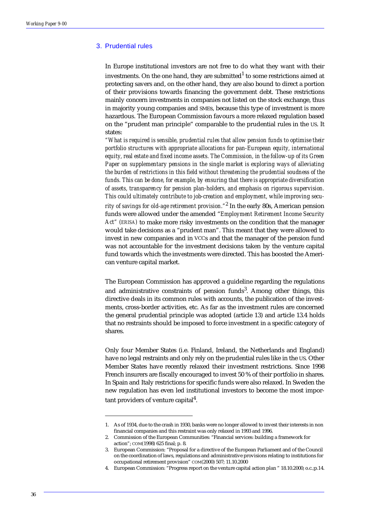#### 3. Prudential rules

In Europe institutional investors are not free to do what they want with their investments. On the one hand, they are submitted $^{\rm 1}$  to some restrictions aimed at protecting savers and, on the other hand, they are also bound to direct a portion of their provisions towards financing the government debt. These restrictions mainly concern investments in companies not listed on the stock exchange, thus in majority young companies and SMEs, because this type of investment is more hazardous. The European Commission favours a more relaxed regulation based on the "prudent man principle" comparable to the prudential rules in the US. It states:

*"What is required is sensible, prudential rules that allow pension funds to optimise their portfolio structures with appropriate allocations for pan-European equity, international equity, real estate and fixed income assets. The Commission, in the follow-up of its Green Paper on supplementary pensions in the single market is exploring ways of alleviating the burden of restrictions in this field without threatening the prudential soudness of the funds. This can be done, for example, by ensuring that there is appropriate diversification of assets, transparency for pension plan-holders, and emphasis on rigorous supervision. This could ultimately contribute to job-creation and employment, while improving security of savings for old-age retirement provision."*<sup>2</sup> In the early 80s, American pension funds were allowed under the amended "*Employment Retirement Income Security Act" (ERISA)* to make more risky investments on the condition that the manager would take decisions as a "prudent man". This meant that they were allowed to invest in new companies and in VCCs and that the manager of the pension fund was not accountable for the investment decisions taken by the venture capital fund towards which the investments were directed. This has boosted the American venture capital market.

The European Commission has approved a guideline regarding the regulations and administrative constraints of pension funds $^3$ . Among other things, this directive deals in its common rules with accounts, the publication of the investments, cross-border activities, etc. As far as the investment rules are concerned the general prudential principle was adopted (article 13) and article 13.4 holds that no restraints should be imposed to force investment in a specific category of shares.

Only four Member States (i.e. Finland, Ireland, the Netherlands and England) have no legal restraints and only rely on the prudential rules like in the US. Other Member States have recently relaxed their investment restrictions. Since 1998 French insurers are fiscally encouraged to invest 50 % of their portfolio in shares. In Spain and Italy restrictions for specific funds were also relaxed. In Sweden the new regulation has even led institutional investors to become the most important providers of venture capital $4$ .

<sup>1.</sup> As of 1934, due to the crash in 1930, banks were no longer allowed to invest their interests in non financial companies and this restraint was only relaxed in 1993 and 1996.

<sup>2.</sup> Commission of the European Communities: "Financial services: building a framework for action"; COM(1998) 625 final; p. 8.

<sup>3.</sup> European Commission: "Proposal for a directive of the European Parliament and of the Council on the coordination of laws, regulations and administrative provisions relating to institutions for occupational retirement provision" COM(2000) 507; 11.10.2000

<sup>4.</sup> European Commission: "Progress report on the venture capital action plan " 18.10.2000; o.c.;p.14.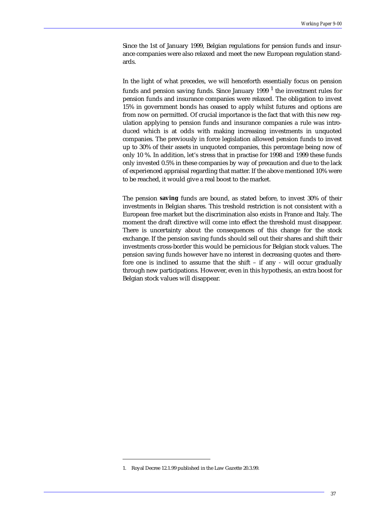Since the 1st of January 1999, Belgian regulations for pension funds and insurance companies were also relaxed and meet the new European regulation standards.

In the light of what precedes, we will henceforth essentially focus on pension funds and pension saving funds. Since January 1999  $^{\rm 1}$  the investment rules for pension funds and insurance companies were relaxed. The obligation to invest 15% in government bonds has ceased to apply whilst futures and options are from now on permitted. Of crucial importance is the fact that with this new regulation applying to pension funds and insurance companies a rule was introduced which is at odds with making increasing investments in unquoted companies. The previously in force legislation allowed pension funds to invest up to 30% of their assets in unquoted companies, this percentage being now of only 10 %. In addition, let's stress that in practise for 1998 and 1999 these funds only invested 0.5% in these companies by way of precaution and due to the lack of experienced appraisal regarding that matter. If the above mentioned 10% were to be reached, it would give a real boost to the market.

The pension **saving** funds are bound, as stated before, to invest 30% of their investments in Belgian shares. This treshold restriction is not consistent with a European free market but the discrimination also exists in France and Italy. The moment the draft directive will come into effect the threshold must disappear. There is uncertainty about the consequences of this change for the stock exchange. If the pension saving funds should sell out their shares and shift their investments cross-border this would be pernicious for Belgian stock values. The pension saving funds however have no interest in decreasing quotes and therefore one is inclined to assume that the shift – if any - will occur gradually through new participations. However, even in this hypothesis, an extra boost for Belgian stock values will disappear.

<sup>1.</sup> Royal Decree 12.1.99 published in the Law Gazette 20.3.99.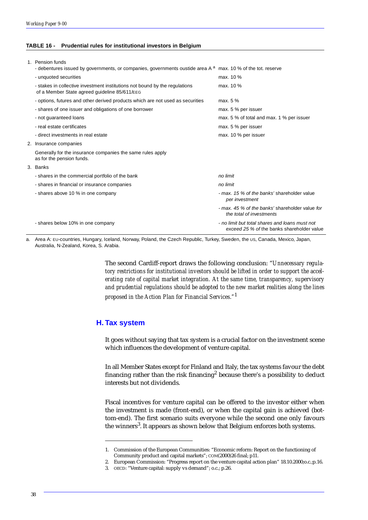#### **TABLE 16 - Prudential rules for institutional investors in Belgium**

| 1. Pension funds<br>- debentures issued by governments, or companies, governments oustide area A <sup>a</sup> max. 10 % of the tot. reserve |                                                                                              |
|---------------------------------------------------------------------------------------------------------------------------------------------|----------------------------------------------------------------------------------------------|
| - unquoted securities                                                                                                                       | max. 10 %                                                                                    |
| - stakes in collective investment institutions not bound by the regulations<br>of a Member State agreed guideline 85/611/EEG                | max. 10 %                                                                                    |
| - options, futures and other derived products which are not used as securities                                                              | max. $5\%$                                                                                   |
| - shares of one issuer and obligations of one borrower                                                                                      | max. 5 % per issuer                                                                          |
| - not guaranteed loans                                                                                                                      | max. 5 % of total and max. 1 % per issuer                                                    |
| - real estate certificates                                                                                                                  | max. 5 % per issuer                                                                          |
| - direct investments in real estate                                                                                                         | max. 10 % per issuer                                                                         |
| 2. Insurance companies                                                                                                                      |                                                                                              |
| Generally for the insurance companies the same rules apply<br>as for the pension funds.                                                     |                                                                                              |
| 3. Banks                                                                                                                                    |                                                                                              |
| - shares in the commercial portfolio of the bank                                                                                            | no limit                                                                                     |
| - shares in financial or insurance companies                                                                                                | no limit                                                                                     |
| - shares above 10 % in one company                                                                                                          | - max. 15 % of the banks' shareholder value<br>per investment                                |
|                                                                                                                                             | - max. 45 % of the banks' shareholder value for<br>the total of investments                  |
| - shares below 10% in one company                                                                                                           | - no limit but total shares and loans must not<br>exceed 25 % of the banks shareholder value |

a. Area A: EU-countries, Hungary, Iceland, Norway, Poland, the Czech Republic, Turkey, Sweden, the us, Canada, Mexico, Japan, Australia, N-Zealand, Korea, S. Arabia.

> The second Cardiff-report draws the following conclusion: "*Unnecessary regulatory restrictions for institutional investors should be lifted in order to support the accelerating rate of capital market integration. At the same time, transparency, supervisory and prudential regulations should be adopted to the new market realities along the lines proposed in the Action Plan for Financial Services."*<sup>1</sup>

#### **H. Tax system**

It goes without saying that tax system is a crucial factor on the investment scene which influences the development of venture capital.

In all Member States except for Finland and Italy, the tax systems favour the debt financing rather than the risk financing $^2$  because there's a possibility to deduct interests but not dividends.

Fiscal incentives for venture capital can be offered to the investor either when the investment is made (front-end), or when the capital gain is achieved (bottom-end). The first scenario suits everyone while the second one only favours the winners $^3$ . It appears as shown below that Belgium enforces both systems.

<sup>1.</sup> Commission of the European Communities: "Economic reform: Report on the functioning of Community product and capital markets"; COM(2000)26 final; p11.

<sup>2.</sup> European Commission: "Progress report on the venture capital action plan" 18.10.2000;o.c.;p.16.

<sup>3.</sup> OECD: "Venture capital: supply vs demand"; o.c.; p.26.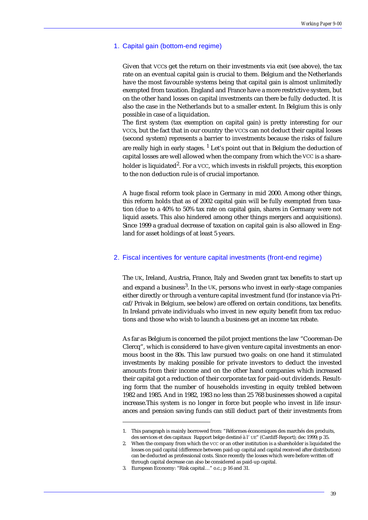#### 1. Capital gain (bottom-end regime)

Given that VCCs get the return on their investments via exit (see above), the tax rate on an eventual capital gain is crucial to them. Belgium and the Netherlands have the most favourable systems being that capital gain is almost unlimitedly exempted from taxation. England and France have a more restrictive system, but on the other hand losses on capital investments can there be fully deducted. It is also the case in the Netherlands but to a smaller extent. In Belgium this is only possible in case of a liquidation.

The first system (tax exemption on capital gain) is pretty interesting for our VCCs, but the fact that in our country the VCCs can not deduct their capital losses (second system) represents a barrier to investments because the risks of failure are really high in early stages.  $1$  Let's point out that in Belgium the deduction of capital losses are well allowed when the company from which the VCC is a shareholder is liquidated $^2$ . For a VCC, which invests in riskfull projects, this exception to the non deduction rule is of crucial importance.

A huge fiscal reform took place in Germany in mid 2000. Among other things, this reform holds that as of 2002 capital gain will be fully exempted from taxation (due to a 40% to 50% tax rate on capital gain, shares in Germany were not liquid assets. This also hindered among other things mergers and acquisitions). Since 1999 a gradual decrease of taxation on capital gain is also allowed in England for asset holdings of at least 5 years.

#### 2. Fiscal incentives for venture capital investments (front-end regime)

The UK, Ireland, Austria, France, Italy and Sweden grant tax benefits to start up and expand a business $^3$ . In the UK, persons who invest in early-stage companies either directly or through a venture capital investment fund (for instance via Pricaf/Privak in Belgium, see below) are offered on certain conditions, tax benefits. In Ireland private individuals who invest in new equity benefit from tax reductions and those who wish to launch a business get an income tax rebate.

As far as Belgium is concerned the pilot project mentions the law "Cooreman-De Clercq", which is considered to have given venture capital investments an enormous boost in the 80s. This law pursued two goals: on one hand it stimulated investments by making possible for private investors to deduct the invested amounts from their income and on the other hand companies which increased their capital got a reduction of their corporate tax for paid-out dividends. Resulting form that the number of households investing in equity trebled between 1982 and 1985. And in 1982, 1983 no less than 25 768 businesses showed a capital increase.This system is no longer in force but people who invest in life insurances and pension saving funds can still deduct part of their investments from

<sup>1.</sup> This paragraph is mainly borrowed from: "Réformes économiques des marchés des produits, des services et des capitaux Rapport belge destiné à l' UE" (Cardiff-Report); dec 1999; p 35.

<sup>2.</sup> When the company from which the VCC or an other institution is a shareholder is liquidated the losses on paid capital (difference between paid-up capital and capital received after distribution) can be deducted as professional costs. Since recently the losses which were before written off through capital decrease can also be considered as paid-up capital.

<sup>3.</sup> European Economy: "Risk capital…" o.c.; p 16 and 31.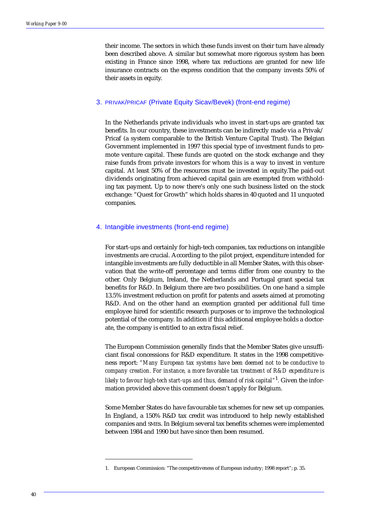their income. The sectors in which these funds invest on their turn have already been described above. A similar but somewhat more rigorous system has been existing in France since 1998, where tax reductions are granted for new life insurance contracts on the express condition that the company invests 50% of their assets in equity.

#### 3. PRIVAK/PRICAF (Private Equity Sicav/Bevek) (front-end regime)

In the Netherlands private individuals who invest in start-ups are granted tax benefits. In our country, these investments can be indirectly made via a Privak/ Pricaf (a system comparable to the British Venture Capital Trust). The Belgian Government implemented in 1997 this special type of investment funds to promote venture capital. These funds are quoted on the stock exchange and they raise funds from private investors for whom this is a way to invest in venture capital. At least 50% of the resources must be invested in equity.The paid-out dividends originating from achieved capital gain are exempted from withholding tax payment. Up to now there's only one such business listed on the stock exchange: "Quest for Growth" which holds shares in 40 quoted and 11 unquoted companies.

#### 4. Intangible investments (front-end regime)

For start-ups and certainly for high-tech companies, tax reductions on intangible investments are crucial. According to the pilot project, expenditure intended for intangible investments are fully deductible in all Member States, with this observation that the write-off percentage and terms differ from one country to the other. Only Belgium, Ireland, the Netherlands and Portugal grant special tax benefits for R&D. In Belgium there are two possibilities. On one hand a simple 13.5% investment reduction on profit for patents and assets aimed at promoting R&D. And on the other hand an exemption granted per additional full time employee hired for scientific research purposes or to improve the technological potential of the company. In addition if this additional employee holds a doctorate, the company is entitled to an extra fiscal relief.

The European Commission generally finds that the Member States give unsufficiant fiscal concessions for R&D expenditure. It states in the 1998 competitiveness report: *"Many European tax systems have been deemed not to be conductive to company creation. For instance, a more favorable tax treatment of R&D expenditure is likely to favour high-tech start-ups and thus, demand of risk capital"*1*.* Given the information provided above this comment doesn't apply for Belgium.

Some Member States do have favourable tax schemes for new set up companies. In England, a 150% R&D tax credit was introduced to help newly established companies and SMEs. In Belgium several tax benefits schemes were implemented between 1984 and 1990 but have since then been resumed.

<sup>1.</sup> European Commission: "The competitiveness of European industry; 1998 report"; p. 35.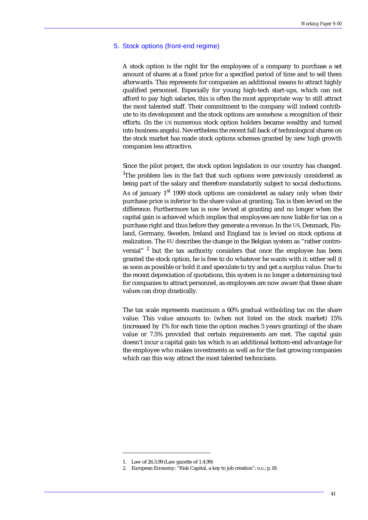#### 5. Stock options (front-end regime)

A stock option is the right for the employees of a company to purchase a set amount of shares at a fixed price for a specified period of time and to sell them afterwards. This represents for companies an additional means to attract highly qualified personnel. Especially for young high-tech start-ups, which can not afford to pay high salaries, this is often the most appropriate way to still attract the most talented staff. Their commitment to the company will indeed contribute to its development and the stock options are somehow a recognition of their efforts. (In the US numerous stock option holders became wealthy and turned into business angels). Nevertheless the recent fall back of technological shares on the stock market has made stock options schemes granted by new high growth companies less attractive.

Since the pilot project, the stock option legislation in our country has changed. <sup>1</sup>The problem lies in the fact that such options were previously considered as being part of the salary and therefore mandatorily subject to social deductions. As of january  $1<sup>st</sup>$  1999 stock options are considered as salary only when their purchase price is inferior to the share value at granting. Tax is then levied on the difference. Furthermore tax is now levied at granting and no longer when the capital gain is achieved which implies that employees are now liable for tax on a purchase right and thus before they generate a revenue. In the US, Denmark, Finland, Germany, Sweden, Ireland and England tax is levied on stock options at realization. The EU describes the change in the Belgian system as "rather controversial"  $2$  but the tax authority considers that once the employee has been granted the stock option, he is free to do whatever he wants with it: either sell it as soon as possible or hold it and speculate to try and get a surplus value. Due to the recent depreciation of quotations, this system is no longer a determining tool for companies to attract personnel, as employees are now aware that these share values can drop drastically.

The tax scale represents maximum a 60% gradual witholding tax on the share value. This value amounts to: (when not listed on the stock market) 15% (increased by 1% for each time the option reaches 5 years granting) of the share value or 7.5% provided that certain requirements are met. The capital gain doesn't incur a capital gain tax which is an additional bottom-end advantage for the employee who makes investments as well as for the fast growing companies which can this way attract the most talented technicians.

<sup>1.</sup> Law of 26.3.99 (Law gazette of 1.4.99)

<sup>2.</sup> European Economy: "Risk Capital, a key to job creation"; o.c.; p.18.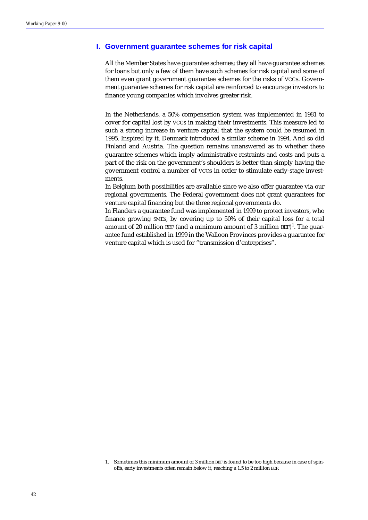#### **I. Government guarantee schemes for risk capital**

All the Member States have guarantee schemes; they all have guarantee schemes for loans but only a few of them have such schemes for risk capital and some of them even grant government guarantee schemes for the risks of VCCs. Government guarantee schemes for risk capital are reinforced to encourage investors to finance young companies which involves greater risk.

In the Netherlands, a 50% compensation system was implemented in 1981 to cover for capital lost by VCCs in making their investments. This measure led to such a strong increase in venture capital that the system could be resumed in 1995. Inspired by it, Denmark introduced a similar scheme in 1994. And so did Finland and Austria. The question remains unanswered as to whether these guarantee schemes which imply administrative restraints and costs and puts a part of the risk on the government's shoulders is better than simply having the government control a number of VCCs in order to stimulate early-stage investments.

In Belgium both possibilities are available since we also offer guarantee via our regional governments. The Federal government does not grant guarantees for venture capital financing but the three regional governments do.

In Flanders a guarantee fund was implemented in 1999 to protect investors, who finance growing SMEs, by covering up to 50% of their capital loss for a total amount of 20 million BEF (and a minimum amount of 3 million BEF) $^{\rm 1}.$  The guarantee fund established in 1999 in the Walloon Provinces provides a guarantee for venture capital which is used for "transmission d'entreprises".

<sup>1.</sup> Sometimes this minimum amount of 3 million BEF is found to be too high because in case of spinoffs, early investments often remain below it, reaching a 1.5 to 2 million BEF.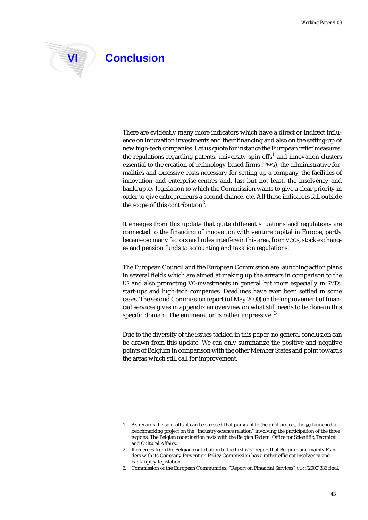

## **VI Conclus**i**on**

There are evidently many more indicators which have a direct or indirect influence on innovation investments and their financing and also on the setting-up of new high-tech companies. Let us quote for instance the European refief measures, the regulations regarding patents, university spin-offs $^1$  and innovation clusters essential to the creation of technology-based firms (TBFs), the administrative formalities and excessive costs necessary for setting up a company, the facilities of innovation and enterprise-centres and, last but not least, the insolvency and bankruptcy legislation to which the Commission wants to give a clear priority in order to give entrepreneurs a second chance, etc. All these indicators fall outside the scope of this contribution<sup>2</sup>.

It emerges from this update that quite different situations and regulations are connected to the financing of innovation with venture capital in Europe, partly because so many factors and rules interfere in this area, from VCCs, stock exchanges and pension funds to accounting and taxation regulations.

The European Council and the European Commission are launching action plans in several fields which are aimed at making up the arrears in comparison to the US and also promoting VC-investments in general but more especially in SMEs, start-ups and high-tech companies. Deadlines have even been settled in some cases. The second Commission report (of May 2000) on the improvement of financial services gives in appendix an overview on what still needs to be done in this specific domain. The enumeration is rather impressive.  $3$ 

Due to the diversity of the issues tackled in this paper, no general conclusion can be drawn from this update. We can only summarize the positive and negative points of Belgium in comparison with the other Member States and point towards the areas which still call for improvement.

<sup>1.</sup> As regards the spin-offs, it can be stressed that pursuant to the pilot project, the EU launched a benchmarking project on the "industry-science relation" involving the participation of the three regions. The Belgian coordination rests with the Belgian Federal Office for Scientific, Technical and Cultural Affairs.

<sup>2.</sup> It emerges from the Belgian contribution to the first BEST report that Belgium and mainly Flanders with its Company Prevention Policy Commission has a rather efficient insolvency and bankruptcy legislation.

<sup>3.</sup> Commission of the European Communities: "Report on Financial Services" COM(2000)336 final.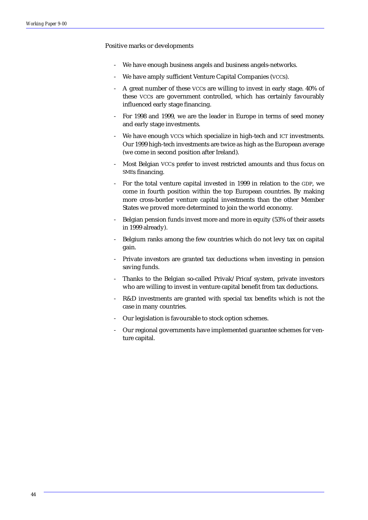Positive marks or developments

- We have enough business angels and business angels-networks.
- We have amply sufficient Venture Capital Companies (VCCs).
- A great number of these VCCs are willing to invest in early stage. 40% of these VCCs are government controlled, which has certainly favourably influenced early stage financing.
- For 1998 and 1999, we are the leader in Europe in terms of seed money and early stage investments.
- We have enough VCCs which specialize in high-tech and ICT investments. Our 1999 high-tech investments are twice as high as the European average (we come in second position after Ireland).
- Most Belgian VCCs prefer to invest restricted amounts and thus focus on SMEs financing.
- For the total venture capital invested in 1999 in relation to the GDP, we come in fourth position within the top European countries. By making more cross-border venture capital investments than the other Member States we proved more determined to join the world economy.
- Belgian pension funds invest more and more in equity (53% of their assets in 1999 already).
- Belgium ranks among the few countries which do not levy tax on capital gain.
- Private investors are granted tax deductions when investing in pension saving funds.
- Thanks to the Belgian so-called Privak/Pricaf system, private investors who are willing to invest in venture capital benefit from tax deductions.
- R&D investments are granted with special tax benefits which is not the case in many countries.
- Our legislation is favourable to stock option schemes.
- Our regional governments have implemented guarantee schemes for venture capital.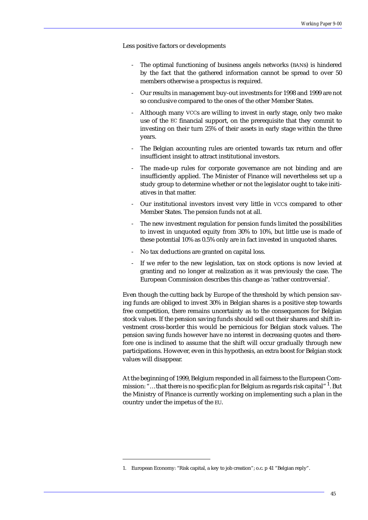Less positive factors or developments

- The optimal functioning of business angels networks (BANs) is hindered by the fact that the gathered information cannot be spread to over 50 members otherwise a prospectus is required.
- Our results in management buy-out investments for 1998 and 1999 are not so conclusive compared to the ones of the other Member States.
- Although many VCCs are willing to invest in early stage, only two make use of the EC financial support, on the prerequisite that they commit to investing on their turn 25% of their assets in early stage within the three years.
- The Belgian accounting rules are oriented towards tax return and offer insufficient insight to attract institutional investors.
- The made-up rules for corporate governance are not binding and are insufficiently applied. The Minister of Finance will nevertheless set up a study group to determine whether or not the legislator ought to take initiatives in that matter.
- Our institutional investors invest very little in VCCs compared to other Member States. The pension funds not at all.
- The new investment regulation for pension funds limited the possibilities to invest in unquoted equity from 30% to 10%, but little use is made of these potential 10% as 0.5% only are in fact invested in unquoted shares.
- No tax deductions are granted on capital loss.
- If we refer to the new legislation, tax on stock options is now levied at granting and no longer at realization as it was previously the case. The European Commission describes this change as 'rather controversial'.

Even though the cutting back by Europe of the threshold by which pension saving funds are obliged to invest 30% in Belgian shares is a positive step towards free competition, there remains uncertainty as to the consequences for Belgian stock values. If the pension saving funds should sell out their shares and shift investment cross-border this would be pernicious for Belgian stock values. The pension saving funds however have no interest in decreasing quotes and therefore one is inclined to assume that the shift will occur gradually through new participations. However, even in this hypothesis, an extra boost for Belgian stock values will disappear.

At the beginning of 1999, Belgium responded in all fairness to the European Commission: "...that there is no specific plan for Belgium as regards risk capital"  $^1$ . But the Ministry of Finance is currently working on implementing such a plan in the country under the impetus of the EU.

<sup>1.</sup> European Economy: "Risk capital, a key to job creation"; o.c. p 41 "Belgian reply".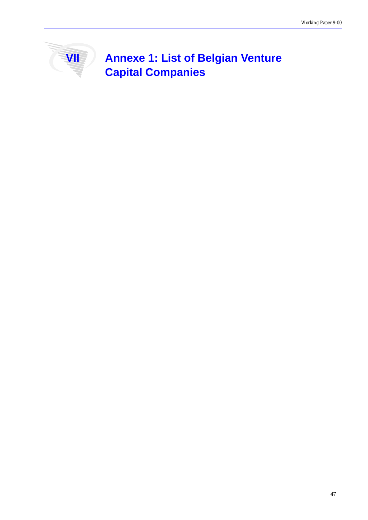

## **VII Annexe 1: List of Belgian Venture Capital Companies**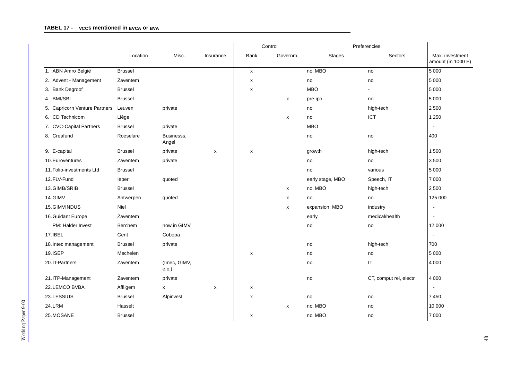#### **TABEL 17 - VCCs mentioned in EVCA or BVA**

|                                      |                |                      |           |                    | Control            | Preferencies     |                        |                                       |
|--------------------------------------|----------------|----------------------|-----------|--------------------|--------------------|------------------|------------------------|---------------------------------------|
|                                      | Location       | Misc.                | Insurance | Bank               | Governm.           | <b>Stages</b>    | Sectors                | Max. investment<br>amount (in 1000 E) |
| 1. ABN Amro België                   | <b>Brussel</b> |                      |           | x                  |                    | no, MBO          | no                     | 5 0 0 0                               |
| 2. Advent - Management               | Zaventem       |                      |           | X                  |                    | no               | no                     | 5 0 0 0                               |
| 3. Bank Degroof                      | <b>Brussel</b> |                      |           | $\pmb{\mathsf{X}}$ |                    | <b>MBO</b>       | $\mathbf{r}$           | 5 0 0 0                               |
| 4. BMI/SBI                           | <b>Brussel</b> |                      |           |                    | X                  | pre-ipo          | no                     | 5 0 0 0                               |
| 5. Capricorn Venture Partners Leuven |                | private              |           |                    |                    | no               | high-tech              | 2 5 0 0                               |
| 6. CD Technicom                      | Liège          |                      |           |                    | $\pmb{\mathsf{x}}$ | no               | ICT                    | 1 2 5 0                               |
| 7. CVC-Capital Partners              | <b>Brussel</b> | private              |           |                    |                    | <b>MBO</b>       |                        | $\blacksquare$                        |
| 8. Creafund                          | Roeselare      | Businesss.<br>Angel  |           |                    |                    | no               | no                     | 400                                   |
| 9. E-capital                         | <b>Brussel</b> | private              | X         | $\pmb{\mathsf{X}}$ |                    | growth           | high-tech              | 1500                                  |
| 10. Euroventures                     | Zaventem       | private              |           |                    |                    | no               | no                     | 3500                                  |
| 11. Folio-investments Ltd            | <b>Brussel</b> |                      |           |                    |                    | no               | various                | 5 0 0 0                               |
| 12. FLV-Fund                         | leper          | quoted               |           |                    |                    | early stage, MBO | Speech, IT             | 7 0 0 0                               |
| 13. GIMB/SRIB                        | <b>Brussel</b> |                      |           |                    | X                  | no, MBO          | high-tech              | 2 5 0 0                               |
| 14. GIMV                             | Antwerpen      | quoted               |           |                    | X                  | no               | no                     | 125 000                               |
| 15. GIMVINDUS                        | Niel           |                      |           |                    | X                  | expansion, MBO   | industry               | $\blacksquare$                        |
| 16. Guidant Europe                   | Zaventem       |                      |           |                    |                    | early            | medical/health         | $\blacksquare$                        |
| PM: Halder Invest                    | Berchem        | now in GIMV          |           |                    |                    | no               | no                     | 12 000                                |
| 17. IBEL                             | Gent           | Cobepa               |           |                    |                    |                  |                        | $\blacksquare$                        |
| 18. Intec management                 | <b>Brussel</b> | private              |           |                    |                    | no               | high-tech              | 700                                   |
| 19. ISEP                             | Mechelen       |                      |           | X                  |                    | no               | no                     | 5 0 0 0                               |
| 20. IT-Partners                      | Zaventem       | (Imec, GIMV,<br>e.o. |           |                    |                    | no               | IT                     | 4 0 0 0                               |
| 21. ITP-Management                   | Zaventem       | private              |           |                    |                    | no               | CT, comput rel, electr | 4 0 0 0                               |
| 22. LEMCO BVBA                       | Affligem       | $\mathsf{x}$         | X         | X                  |                    |                  |                        | $\sim$                                |
| 23.LESSIUS                           | <b>Brussel</b> | Alpinvest            |           | X                  |                    | no               | no                     | 7450                                  |
| 24.LRM                               | Hasselt        |                      |           |                    | $\pmb{\mathsf{x}}$ | no, MBO          | no                     | 10 000                                |
| 25. MOSANE                           | <b>Brussel</b> |                      |           | $\pmb{\mathsf{x}}$ |                    | no, MBO          | no                     | 7 0 0 0                               |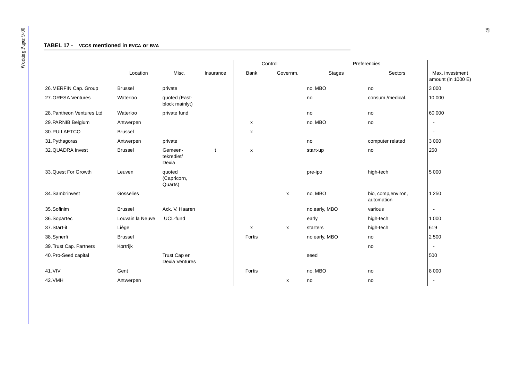#### **TABEL 17 - VCCs mentioned in EVCA or BVA**

|                           |                  |                                  |           | Control     |              |               | Preferencies                      |                                       |
|---------------------------|------------------|----------------------------------|-----------|-------------|--------------|---------------|-----------------------------------|---------------------------------------|
|                           | Location         | Misc.                            | Insurance | <b>Bank</b> | Governm.     | Stages        | Sectors                           | Max. investment<br>amount (in 1000 E) |
| 26. MERFIN Cap. Group     | <b>Brussel</b>   | private                          |           |             |              | no, MBO       | no                                | 3 0 0 0                               |
| 27. ORESA Ventures        | Waterloo         | quoted (East-<br>block mainlyt)  |           |             |              | no            | consum./medical.                  | 10 000                                |
| 28. Pantheon Ventures Ltd | Waterloo         | private fund                     |           |             |              | no            | no                                | 60 000                                |
| 29. PARNIB Belgium        | Antwerpen        |                                  |           | X           |              | no, MBO       | no                                | $\overline{\phantom{a}}$              |
| 30. PUILAETCO             | <b>Brussel</b>   |                                  |           | X           |              |               |                                   | $\blacksquare$                        |
| 31. Pythagoras            | Antwerpen        | private                          |           |             |              | no            | computer related                  | 3 0 0 0                               |
| 32. QUADRA Invest         | <b>Brussel</b>   | Gemeen-<br>tekrediet/<br>Dexia   | t         | X           |              | start-up      | no                                | 250                                   |
| 33. Quest For Growth      | Leuven           | quoted<br>(Capricorn,<br>Quarts) |           |             |              | pre-ipo       | high-tech                         | 5 0 0 0                               |
| 34. Sambrinvest           | Gosselies        |                                  |           |             | $\pmb{\chi}$ | no, MBO       | bio, comp, environ,<br>automation | 1 2 5 0                               |
| 35. Sofinim               | <b>Brussel</b>   | Ack. V. Haaren                   |           |             |              | no,early, MBO | various                           | $\blacksquare$                        |
| 36. Sopartec              | Louvain la Neuve | UCL-fund                         |           |             |              | early         | high-tech                         | 1 0 0 0                               |
| 37. Start-it              | Liège            |                                  |           | X           | X            | starters      | high-tech                         | 619                                   |
| 38. Synerfi               | <b>Brussel</b>   |                                  |           | Fortis      |              | no early, MBO | no                                | 2 5 0 0                               |
| 39. Trust Cap. Partners   | Kortrijk         |                                  |           |             |              |               | no                                | $\blacksquare$                        |
| 40. Pro-Seed capital      |                  | Trust Cap en<br>Dexia Ventures   |           |             |              | seed          |                                   | 500                                   |
| 41. VIV                   | Gent             |                                  |           | Fortis      |              | no, MBO       | no                                | 8 0 0 0                               |
| 42. VMH                   | Antwerpen        |                                  |           |             | X            | no            | no                                | $\blacksquare$                        |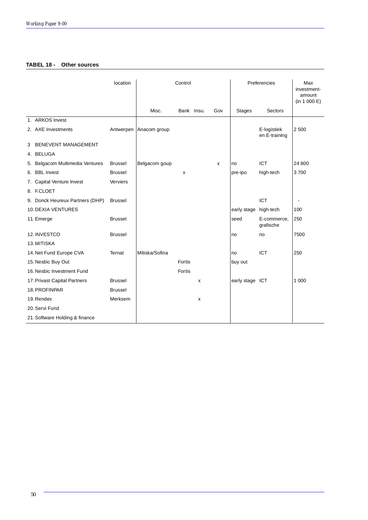#### **TABEL 18 - Other sources**

|                                 | location       |                        | Control    |   |     |                 | Preferencies                 | Max<br>investment-<br>amount<br>(in 1 000 E) |
|---------------------------------|----------------|------------------------|------------|---|-----|-----------------|------------------------------|----------------------------------------------|
|                                 |                | Misc.                  | Bank Insu. |   | Gov | <b>Stages</b>   | Sectors                      |                                              |
| 1. ARKOS Invest                 |                |                        |            |   |     |                 |                              |                                              |
| 2. AXE Investments              |                | Antwerpen Anacom group |            |   |     |                 | E-logistiek<br>en E-training | 2 500                                        |
| <b>BENEVENT MANAGEMENT</b><br>3 |                |                        |            |   |     |                 |                              |                                              |
| 4. BELUGA                       |                |                        |            |   |     |                 |                              |                                              |
| 5. Belgacom Multimedia Ventures | <b>Brussel</b> | Belgacom goup          |            |   | X   | no              | <b>ICT</b>                   | 24 800                                       |
| 6. BBL Invest                   | <b>Brussel</b> |                        | x          |   |     | pre-ipo         | high-tech                    | 3700                                         |
| 7. Capital Venture Invest       | Verviers       |                        |            |   |     |                 |                              |                                              |
| 8. F.CLOET                      |                |                        |            |   |     |                 |                              |                                              |
| 9. Donck Heureux Partners (DHP) | <b>Brussel</b> |                        |            |   |     |                 | <b>ICT</b>                   |                                              |
| <b>10. DEXIA VENTURES</b>       |                |                        |            |   |     | early stage     | high-tech                    | 100                                          |
| 11. Emerge                      | <b>Brussel</b> |                        |            |   |     | seed            | E-commerce,<br>grafische     | 250                                          |
| 12. INVESTCO                    | <b>Brussel</b> |                        |            |   |     | no              | no                           | 7500                                         |
| 13. MITISKA                     |                |                        |            |   |     |                 |                              |                                              |
| 14. Net Fund Europe CVA         | Ternat         | Mitiska/Sofina         |            |   |     | no              | <b>ICT</b>                   | 250                                          |
| 15. Nesbic Buy Out              |                |                        | Fortis     |   |     | buy out         |                              |                                              |
| 16. Nesbic Investment Fund      |                |                        | Fortis     |   |     |                 |                              |                                              |
| 17. Privast Capital Partners    | <b>Brussel</b> |                        |            | x |     | early stage ICT |                              | 1 0 0 0                                      |
| 18. PROFINPAR                   | <b>Brussel</b> |                        |            |   |     |                 |                              |                                              |
| 19. Rendex                      | Merksem        |                        |            | x |     |                 |                              |                                              |
| 20. Servi Fund                  |                |                        |            |   |     |                 |                              |                                              |
| 21. Software Holding & finance  |                |                        |            |   |     |                 |                              |                                              |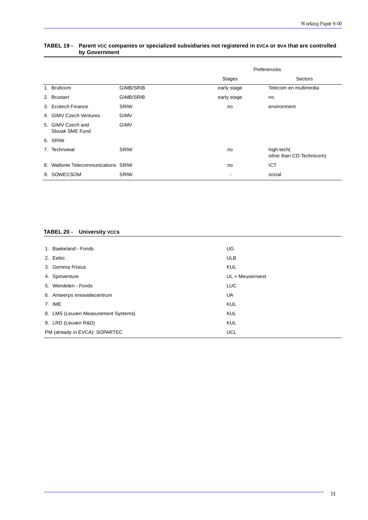other than CD-Technicom)

| <i>.</i>                             |             |               |                       |  |
|--------------------------------------|-------------|---------------|-----------------------|--|
|                                      |             | Preferencies  |                       |  |
|                                      |             | <b>Stages</b> | Sectors               |  |
| 1. Bruficom                          | GIMB/SRIB   | early stage   | Telecom en multimedia |  |
| 2. Brustart                          | GIMB/SRIB   | early stage   | no                    |  |
| 3. Ecotech Finance                   | <b>SRIW</b> | no            | environment           |  |
| 4. GIMV Czech Ventures               | <b>GIMV</b> |               |                       |  |
| 5. GIMV Czech and<br>Slovak SME Fund | <b>GIMV</b> |               |                       |  |

7. Technowal **SRIW** SRIW **no** high-tech(

8. Wallonie Telecommunications SRIW no intervention of the ICT in the ICT in the ICT in the ICT 9. SOWECSOM SRIW SRIW CONTROL SAME SOCIAL SERIES SOCIAL SERIES SOCIAL SOCIAL SOCIAL SOCIAL SOCIAL SOCIAL SOCIAL

#### **TABEL 19 - Parent VCC companies or specialized subsidiaries not registered in EVCA or BVA that are controlled by Government**

#### **TABEL 20 - University VCCs**

6. SRIW

| 1. Baekeland - Fonds                | UG               |
|-------------------------------------|------------------|
| 2. Eebic                            | <b>ULB</b>       |
| 3. Gemma Frisius                    | <b>KUL</b>       |
| 4. Spinventure                      | UL + Meuseinvest |
| 5. Wendelen - Fonds                 | <b>LUC</b>       |
| 6. Antwerps innovatiecentrum        | UA               |
| 7. IME                              | <b>KUL</b>       |
| 8. LMS (Leuven Measurement Systems) | <b>KUL</b>       |
| 9. LRD (Leuven R&D)                 | <b>KUL</b>       |
| PM (already in EVCA): SOPARTEC      | <b>UCL</b>       |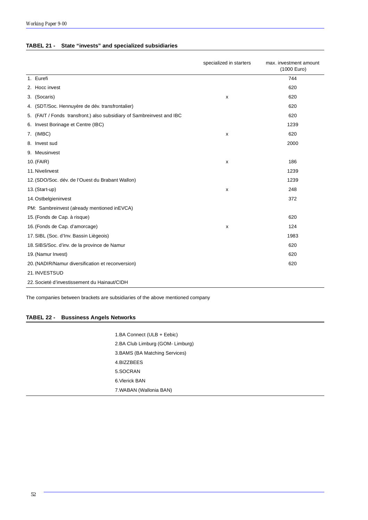|  |  | TABEL 21 - State "invests" and specialized subsidiaries |
|--|--|---------------------------------------------------------|
|--|--|---------------------------------------------------------|

|                                                                       | specialized in starters | max. investment amount<br>(1000 Euro) |
|-----------------------------------------------------------------------|-------------------------|---------------------------------------|
| 1. Eurefi                                                             |                         | 744                                   |
| 2. Hocc invest                                                        |                         | 620                                   |
| 3. (Socaris)                                                          | X                       | 620                                   |
| 4. (SDT/Soc. Hennuyère de dév. transfrontalier)                       |                         | 620                                   |
| 5. (FAIT / Fonds transfront.) also subsidiary of Sambreinvest and IBC |                         | 620                                   |
| 6. Invest Borinage et Centre (IBC)                                    |                         | 1239                                  |
| 7. (IMBC)                                                             | X                       | 620                                   |
| 8. Invest sud                                                         |                         | 2000                                  |
| 9. Meusinvest                                                         |                         |                                       |
| 10. (FAIR)                                                            | X                       | 186                                   |
| 11. Nivelinvest                                                       |                         | 1239                                  |
| 12. (SDO/Soc. dév. de l'Ouest du Brabant Wallon)                      |                         | 1239                                  |
| 13. (Start-up)                                                        | X                       | 248                                   |
| 14. Ostbelgieninvest                                                  |                         | 372                                   |
| PM: Sambreinvest (already mentioned inEVCA)                           |                         |                                       |
| 15. (Fonds de Cap. à risque)                                          |                         | 620                                   |
| 16. (Fonds de Cap. d'amorcage)                                        | $\pmb{\mathsf{x}}$      | 124                                   |
| 17. SIBL (Soc. d'Inv. Bassin Liègeois)                                |                         | 1983                                  |
| 18. SIBS/Soc. d'inv. de la province de Namur                          |                         | 620                                   |
| 19. (Namur Invest)                                                    |                         | 620                                   |
| 20. (NADIR/Namur diversification et reconversion)                     |                         | 620                                   |
| 21. INVESTSUD                                                         |                         |                                       |
| 22. Societé d'investissement du Hainaut/CIDH                          |                         |                                       |

The companies between brackets are subsidiaries of the above mentioned company

#### **TABEL 22 - Bussiness Angels Networks**

1.BA Connect (ULB + Eebic) 2.BA Club Limburg (GOM- Limburg) 3.BAMS (BA Matching Services) 4.BIZZBEES 5.SOCRAN 6.Vlerick BAN 7.WABAN (Wallonia BAN)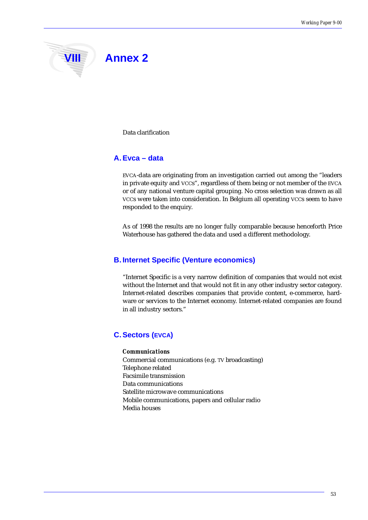

Data clarification

#### **A. Evca – data**

EVCA-data are originating from an investigation carried out among the "leaders in private equity and VCCs", regardless of them being or not member of the EVCA or of any national venture capital grouping. No cross selection was drawn as all VCCs were taken into consideration. In Belgium all operating VCCs seem to have responded to the enquiry.

As of 1998 the results are no longer fully comparable because henceforth Price Waterhouse has gathered the data and used a different methodology.

#### **B. Internet Specific (Venture economics)**

"Internet Specific is a very narrow definition of companies that would not exist without the Internet and that would not fit in any other industry sector category. Internet-related describes companies that provide content, e-commerce, hardware or services to the Internet economy. Internet-related companies are found in all industry sectors."

#### **C. Sectors (EVCA)**

#### *Communications*

Commercial communications (e.g. TV broadcasting) Telephone related Facsimile transmission Data communications Satellite microwave communications Mobile communications, papers and cellular radio Media houses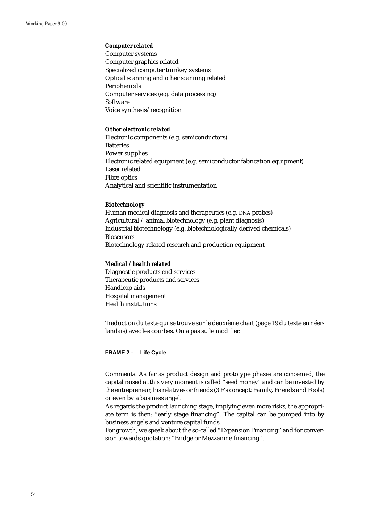#### *Computer related*

Computer systems Computer graphics related Specialized computer turnkey systems Optical scanning and other scanning related Periphericals Computer services (e.g. data processing) Software Voice synthesis/recognition

#### *Other electronic related*

Electronic components (e.g. semiconductors) Batteries Power supplies Electronic related equipment (e.g. semiconductor fabrication equipment) Laser related Fibre optics Analytical and scientific instrumentation

#### *Biotechnology*

Human medical diagnosis and therapeutics (e.g. DNA probes) Agricultural / animal biotechnology (e.g. plant diagnosis) Industrial biotechnology (e.g. biotechnologically derived chemicals) **Biosensors** Biotechnology related research and production equipment

#### *Medical / health related*

Diagnostic products end services Therapeutic products and services Handicap aids Hospital management Health institutions

Traduction du texte qui se trouve sur le deuxième chart (page 19 du texte en néerlandais) avec les courbes. On a pas su le modifier.

#### **FRAME 2 - Life Cycle**

Comments: As far as product design and prototype phases are concerned, the capital raised at this very moment is called "seed money" and can be invested by the entrepreneur, his relatives or friends (3 F's concept: Family, Friends and Fools) or even by a business angel.

As regards the product launching stage, implying even more risks, the appropriate term is then: "early stage financing". The capital can be pumped into by business angels and venture capital funds.

For growth, we speak about the so-called "Expansion Financing" and for conversion towards quotation: "Bridge or Mezzanine financing".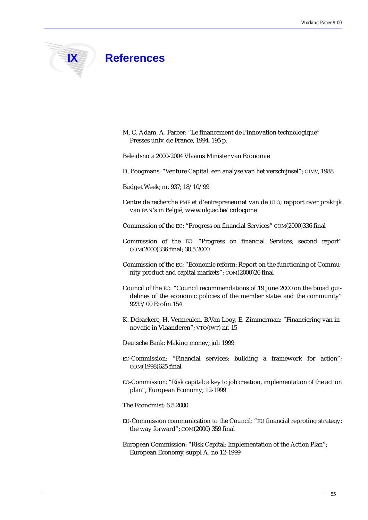

### **IX References**

M. C. Adam, A. Farber: "Le financement de l'innovation technologique" Presses univ. de France, 1994, 195 p.

Beleidsnota 2000-2004 Vlaams Minister van Economie

D. Boogmans: "Venture Capital: een analyse van het verschijnsel"; GIMV, 1988

Budget Week; nr. 937; 18/10/99

Centre de recherche PME et d'entrepreneuriat van de ULG; rapport over praktijk van BAN's in België; www.ulg.ac.be/crdocpme

Commission of the EC: "Progress on financial Services" COM(2000)336 final

- Commission of the EC: "Progress on financial Services; second report" COM(2000)336 final; 30.5.2000
- Commission of the EC: "Economic reform: Report on the functioning of Community product and capital markets"; COM(2000)26 final
- Council of the EC: "Council recommendations of 19 June 2000 on the broad guidelines of the economic policies of the member states and the community" 9233/00 Ecofin 154
- K. Debackere, H. Vermeulen, B.Van Looy, E. Zimmerman: "Financiering van innovatie in Vlaanderen"; VTO(IWT) nr. 15

Deutsche Bank: Making money; juli 1999

- EC-Commission: "Financial services: building a framework for action"; COM(1998)625 final
- EC-Commission: "Risk capital: a key to job creation, implementation of the action plan"; European Economy; 12-1999

The Economist; 6.5.2000

- EU-Commission communication to the Council: "EU financial reproting strategy: the way forward"; COM(2000) 359 final
- European Commission: "Risk Capital: Implementation of the Action Plan"; European Economy, suppl A, no 12-1999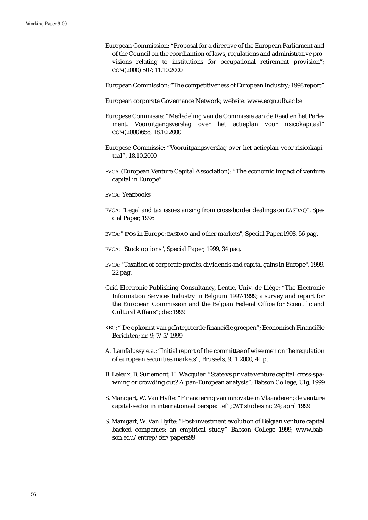European Commission: "Proposal for a directive of the European Parliament and of the Council on the coordiantion of laws, regulations and administrative provisions relating to institutions for occupational retirement provision"; COM(2000) 507; 11.10.2000

European Commission: "The competitiveness of European Industry; 1998 report"

- European corporate Governance Network; website: www.ecgn.ulb.ac.be
- Europese Commissie: "Mededeling van de Commissie aan de Raad en het Parlement. Vooruitgangsverslag over het actieplan voor risicokapitaal" COM(2000)658, 18.10.2000
- Europese Commissie: "Vooruitgangsverslag over het actieplan voor risicokapitaal", 18.10.2000
- EVCA (European Venture Capital Association): "The economic impact of venture capital in Europe"
- EVCA: Yearbooks
- EVCA: "Legal and tax issues arising from cross-border dealings on EASDAQ", Special Paper, 1996
- EVCA:" IPOs in Europe: EASDAQ and other markets", Special Paper,1998, 56 pag.
- EVCA: "Stock options", Special Paper, 1999, 34 pag.
- EVCA: "Taxation of corporate profits, dividends and capital gains in Europe", 1999, 22 pag.
- Grid Electronic Publishing Consultancy, Lentic, Univ. de Liège: "The Electronic Information Services Industry in Belgium 1997-1999; a survey and report for the European Commission and the Belgian Federal Office for Scientific and Cultural Affairs"; dec 1999
- KBC: " De opkomst van geïntegreerde financiële groepen"; Economisch Financiële Berichten; nr. 9; 7/5/1999
- A. Lamfalussy e.a.: "Initial report of the committee of wise men on the regulation of european securities markets", Brussels, 9.11.2000, 41 p.
- B. Leleux, B. Surlemont, H. Wacquier: "State vs private venture capital: cross-spawning or crowding out? A pan-European analysis"; Babson College, Ulg; 1999
- S. Manigart, W. Van Hyfte: "Financiering van innovatie in Vlaanderen; de venture capital-sector in internationaal perspectief"; IWT studies nr. 24; april 1999
- S. Manigart, W. Van Hyfte: "Post-investment evolution of Belgian venture capital backed companies: an empirical study" Babson College 1999; www.babson.edu/entrep/fer/papers99